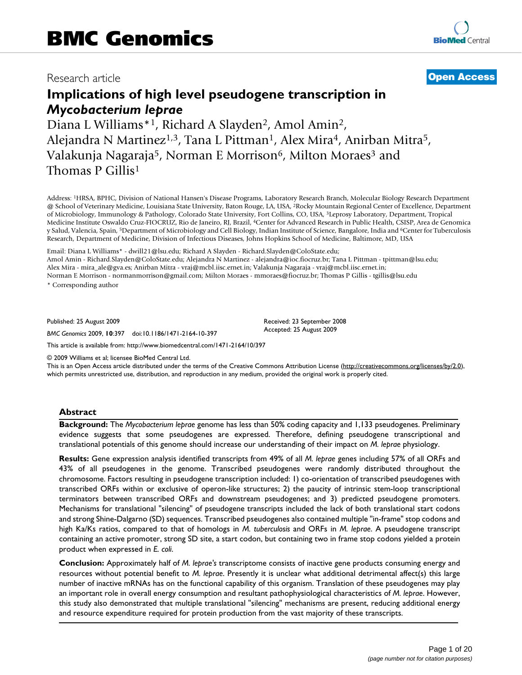# **Implications of high level pseudogene transcription in**  *Mycobacterium leprae*

Diana L Williams\*<sup>1</sup>, Richard A Slayden<sup>2</sup>, Amol Amin<sup>2</sup>, Alejandra N Martinez<sup>1,3</sup>, Tana L Pittman<sup>1</sup>, Alex Mira<sup>4</sup>, Anirban Mitra<sup>5</sup>, Valakunja Nagaraja<sup>5</sup>, Norman E Morrison<sup>6</sup>, Milton Moraes<sup>3</sup> and Thomas P Gillis1

Address: 1HRSA, BPHC, Division of National Hansen's Disease Programs, Laboratory Research Branch, Molecular Biology Research Department @ School of Veterinary Medicine, Louisiana State University, Baton Rouge, LA, USA, 2Rocky Mountain Regional Center of Excellence, Department of Microbiology, Immunology & Pathology, Colorado State University, Fort Collins, CO, USA, 3Leprosy Laboratory, Department, Tropical Medicine Institute Oswaldo Cruz-FIOCRUZ, Rio de Janeiro, RJ, Brazil, 4Center for Advanced Research in Public Health, CSISP, Area de Genomica y Salud, Valencia, Spain, 5Department of Microbiology and Cell Biology, Indian Institute of Science, Bangalore, India and 6Center for Tuberculosis Research, Department of Medicine, Division of Infectious Diseases, Johns Hopkins School of Medicine, Baltimore, MD, USA

Email: Diana L Williams\* - dwill21@lsu.edu; Richard A Slayden - Richard.Slayden@ColoState.edu; Amol Amin - Richard.Slayden@ColoState.edu; Alejandra N Martinez - alejandra@ioc.fiocruz.br; Tana L Pittman - tpittman@lsu.edu; Alex Mira - mira\_ale@gva.es; Anirban Mitra - vraj@mcbl.iisc.ernet.in; Valakunja Nagaraja - vraj@mcbl.iisc.ernet.in; Norman E Morrison - normanmorrison@gmail.com; Milton Moraes - mmoraes@fiocruz.br; Thomas P Gillis - tgillis@lsu.edu

\* Corresponding author

Published: 25 August 2009

*BMC Genomics* 2009, **10**:397 doi:10.1186/1471-2164-10-397

[This article is available from: http://www.biomedcentral.com/1471-2164/10/397](http://www.biomedcentral.com/1471-2164/10/397)

© 2009 Williams et al; licensee BioMed Central Ltd.

This is an Open Access article distributed under the terms of the Creative Commons Attribution License [\(http://creativecommons.org/licenses/by/2.0\)](http://creativecommons.org/licenses/by/2.0), which permits unrestricted use, distribution, and reproduction in any medium, provided the original work is properly cited.

#### **Abstract**

**Background:** The *Mycobacterium leprae* genome has less than 50% coding capacity and 1,133 pseudogenes. Preliminary evidence suggests that some pseudogenes are expressed. Therefore, defining pseudogene transcriptional and translational potentials of this genome should increase our understanding of their impact on *M. leprae* physiology.

**Results:** Gene expression analysis identified transcripts from 49% of all *M. leprae* genes including 57% of all ORFs and 43% of all pseudogenes in the genome. Transcribed pseudogenes were randomly distributed throughout the chromosome. Factors resulting in pseudogene transcription included: 1) co-orientation of transcribed pseudogenes with transcribed ORFs within or exclusive of operon-like structures; 2) the paucity of intrinsic stem-loop transcriptional terminators between transcribed ORFs and downstream pseudogenes; and 3) predicted pseudogene promoters. Mechanisms for translational "silencing" of pseudogene transcripts included the lack of both translational start codons and strong Shine-Dalgarno (SD) sequences. Transcribed pseudogenes also contained multiple "in-frame" stop codons and high Ka/Ks ratios, compared to that of homologs in *M. tuberculosis* and ORFs in *M. leprae*. A pseudogene transcript containing an active promoter, strong SD site, a start codon, but containing two in frame stop codons yielded a protein product when expressed in *E. coli*.

**Conclusion:** Approximately half of *M. leprae's* transcriptome consists of inactive gene products consuming energy and resources without potential benefit to *M. leprae*. Presently it is unclear what additional detrimental affect(s) this large number of inactive mRNAs has on the functional capability of this organism. Translation of these pseudogenes may play an important role in overall energy consumption and resultant pathophysiological characteristics of *M. leprae*. However, this study also demonstrated that multiple translational "silencing" mechanisms are present, reducing additional energy and resource expenditure required for protein production from the vast majority of these transcripts.

# Research article **[Open Access](http://www.biomedcentral.com/info/about/charter/)**

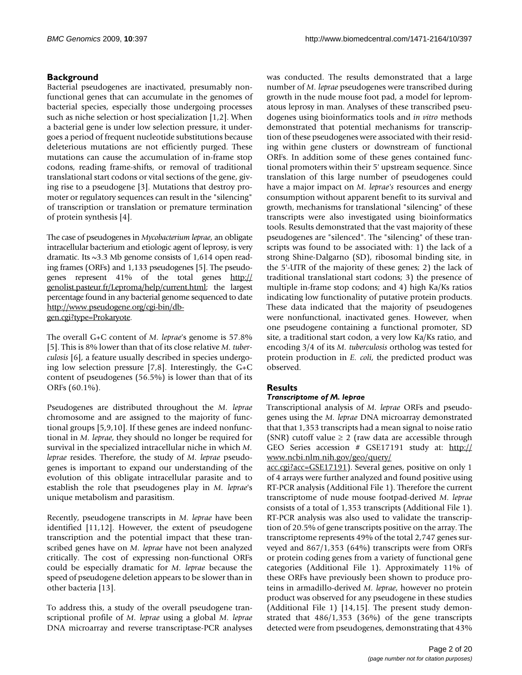# **Background**

Bacterial pseudogenes are inactivated, presumably nonfunctional genes that can accumulate in the genomes of bacterial species, especially those undergoing processes such as niche selection or host specialization [1,2]. When a bacterial gene is under low selection pressure, it undergoes a period of frequent nucleotide substitutions because deleterious mutations are not efficiently purged. These mutations can cause the accumulation of in-frame stop codons, reading frame-shifts, or removal of traditional translational start codons or vital sections of the gene, giving rise to a pseudogene [3]. Mutations that destroy promoter or regulatory sequences can result in the "silencing" of transcription or translation or premature termination of protein synthesis [4].

The case of pseudogenes in *Mycobacterium leprae*, an obligate intracellular bacterium and etiologic agent of leprosy, is very dramatic. Its ~3.3 Mb genome consists of 1,614 open reading frames (ORFs) and 1,133 pseudogenes [5]. The pseudogenes represent 41% of the total genes [http://](http://genolist.pasteur.fr/Leproma/help/current.html) [genolist.pasteur.fr/Leproma/help/current.html;](http://genolist.pasteur.fr/Leproma/help/current.html) the largest percentage found in any bacterial genome sequenced to date [http://www.pseudogene.org/cgi-bin/db](http://www.pseudogene.org/cgi-bin/db-gen.cgi?type=Prokaryote)[gen.cgi?type=Prokaryote.](http://www.pseudogene.org/cgi-bin/db-gen.cgi?type=Prokaryote)

The overall G+C content of *M. leprae*'s genome is 57.8% [5]. This is 8% lower than that of its close relative *M. tuberculosis* [6], a feature usually described in species undergoing low selection pressure [7,8]. Interestingly, the G+C content of pseudogenes (56.5%) is lower than that of its ORFs (60.1%).

Pseudogenes are distributed throughout the *M. leprae* chromosome and are assigned to the majority of functional groups [5,9,10]. If these genes are indeed nonfunctional in *M. leprae*, they should no longer be required for survival in the specialized intracellular niche in which *M. leprae* resides. Therefore, the study of *M. leprae* pseudogenes is important to expand our understanding of the evolution of this obligate intracellular parasite and to establish the role that pseudogenes play in *M. leprae*'s unique metabolism and parasitism.

Recently, pseudogene transcripts in *M. leprae* have been identified [11,12]. However, the extent of pseudogene transcription and the potential impact that these transcribed genes have on *M. leprae* have not been analyzed critically. The cost of expressing non-functional ORFs could be especially dramatic for *M. leprae* because the speed of pseudogene deletion appears to be slower than in other bacteria [13].

To address this, a study of the overall pseudogene transcriptional profile of *M. leprae* using a global *M. leprae* DNA microarray and reverse transcriptase-PCR analyses

was conducted. The results demonstrated that a large number of *M. leprae* pseudogenes were transcribed during growth in the nude mouse foot pad, a model for lepromatous leprosy in man. Analyses of these transcribed pseudogenes using bioinformatics tools and *in vitro* methods demonstrated that potential mechanisms for transcription of these pseudogenes were associated with their residing within gene clusters or downstream of functional ORFs. In addition some of these genes contained functional promoters within their 5' upstream sequence. Since translation of this large number of pseudogenes could have a major impact on *M. leprae's* resources and energy consumption without apparent benefit to its survival and growth, mechanisms for translational "silencing" of these transcripts were also investigated using bioinformatics tools. Results demonstrated that the vast majority of these pseudogenes are "silenced". The "silencing" of these transcripts was found to be associated with: 1) the lack of a strong Shine-Dalgarno (SD), ribosomal binding site, in the 5'-UTR of the majority of these genes; 2) the lack of traditional translational start codons; 3) the presence of multiple in-frame stop codons; and 4) high Ka/Ks ratios indicating low functionality of putative protein products. These data indicated that the majority of pseudogenes were nonfunctional, inactivated genes. However, when one pseudogene containing a functional promoter, SD site, a traditional start codon, a very low Ka/Ks ratio, and encoding 3/4 of its *M. tuberculosis* ortholog was tested for protein production in *E. coli*, the predicted product was observed.

# **Results**

# *Transcriptome of M. leprae*

Transcriptional analysis of *M. leprae* ORFs and pseudogenes using the *M. leprae* DNA microarray demonstrated that that 1,353 transcripts had a mean signal to noise ratio (SNR) cutoff value  $\geq 2$  (raw data are accessible through GEO Series accession # GSE17191 study at: [http://](http://www.ncbi.nlm.nih.gov/geo/query/acc.cgi?acc=GSE17191) [www.ncbi.nlm.nih.gov/geo/query/](http://www.ncbi.nlm.nih.gov/geo/query/acc.cgi?acc=GSE17191)

[acc.cgi?acc=GSE17191](http://www.ncbi.nlm.nih.gov/geo/query/acc.cgi?acc=GSE17191)). Several genes, positive on only 1 of 4 arrays were further analyzed and found positive using RT-PCR analysis (Additional File 1). Therefore the current transcriptome of nude mouse footpad-derived *M. leprae* consists of a total of 1,353 transcripts (Additional File 1). RT-PCR analysis was also used to validate the transcription of 20.5% of gene transcripts positive on the array. The transcriptome represents 49% of the total 2,747 genes surveyed and 867/1,353 (64%) transcripts were from ORFs or protein coding genes from a variety of functional gene categories (Additional File 1). Approximately 11% of these ORFs have previously been shown to produce proteins in armadillo-derived *M. leprae*, however no protein product was observed for any pseudogene in these studies (Additional File 1) [14,15]. The present study demonstrated that 486/1,353 (36%) of the gene transcripts detected were from pseudogenes, demonstrating that 43%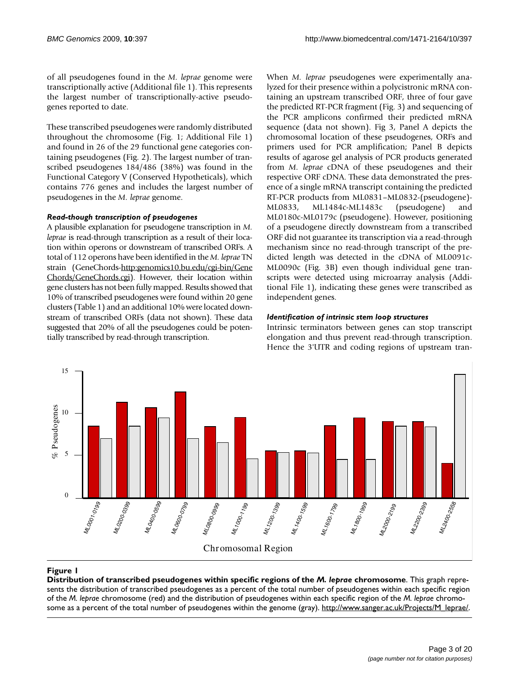of all pseudogenes found in the *M. leprae* genome were transcriptionally active (Additional file 1). This represents the largest number of transcriptionally-active pseudogenes reported to date.

These transcribed pseudogenes were randomly distributed throughout the chromosome (Fig. 1; Additional File 1) and found in 26 of the 29 functional gene categories containing pseudogenes (Fig. 2). The largest number of transcribed pseudogenes 184/486 (38%) was found in the Functional Category V (Conserved Hypotheticals), which contains 776 genes and includes the largest number of pseudogenes in the *M. leprae* genome.

#### *Read-though transcription of pseudogenes*

A plausible explanation for pseudogene transcription in *M. leprae* is read-through transcription as a result of their location within operons or downstream of transcribed ORFs. A total of 112 operons have been identified in the *M. leprae* TN strain (GeneChords[-http:genomics10.bu.edu/cgi-bin/Gene](http://genomics10.bu.edu/cgi-bin/GeneChords/GeneChords.cgi) [Chords/GeneChords.cgi\)](http://genomics10.bu.edu/cgi-bin/GeneChords/GeneChords.cgi). However, their location within gene clusters has not been fully mapped. Results showed that 10% of transcribed pseudogenes were found within 20 gene clusters (Table 1) and an additional 10% were located downstream of transcribed ORFs (data not shown). These data suggested that 20% of all the pseudogenes could be potentially transcribed by read-through transcription.

When *M. leprae* pseudogenes were experimentally analyzed for their presence within a polycistronic mRNA containing an upstream transcribed ORF, three of four gave the predicted RT-PCR fragment (Fig. 3) and sequencing of the PCR amplicons confirmed their predicted mRNA sequence (data not shown). Fig 3, Panel A depicts the chromosomal location of these pseudogenes, ORFs and primers used for PCR amplification; Panel B depicts results of agarose gel analysis of PCR products generated from *M. leprae* cDNA of these pseudogenes and their respective ORF cDNA. These data demonstrated the presence of a single mRNA transcript containing the predicted RT-PCR products from ML0831–ML0832-(pseudogene)- ML0833, ML1484c-ML1483c (pseudogene) and ML0180c-ML0179c (pseudogene). However, positioning of a pseudogene directly downstream from a transcribed ORF did not guarantee its transcription via a read-through mechanism since no read-through transcript of the predicted length was detected in the cDNA of ML0091c-ML0090c (Fig. 3B) even though individual gene transcripts were detected using microarray analysis (Additional File 1), indicating these genes were transcribed as independent genes.

# *Identification of intrinsic stem loop structures*

Intrinsic terminators between genes can stop transcript elongation and thus prevent read-through transcription. Hence the 3'UTR and coding regions of upstream tran-



# Distribution of transcribed pseudogene **Figure 1** s within specific regions of the *M. leprae* chromosome

**Distribution of transcribed pseudogenes within specific regions of the** *M. leprae* **chromosome**. This graph represents the distribution of transcribed pseudogenes as a percent of the total number of pseudogenes within each specific region of the *M. leprae* chromosome (red) and the distribution of pseudogenes within each specific region of the *M. leprae* chromosome as a percent of the total number of pseudogenes within the genome (gray). [http://www.sanger.ac.uk/Projects/M\\_leprae/.](http://www.sanger.ac.uk/Projects/M_leprae/)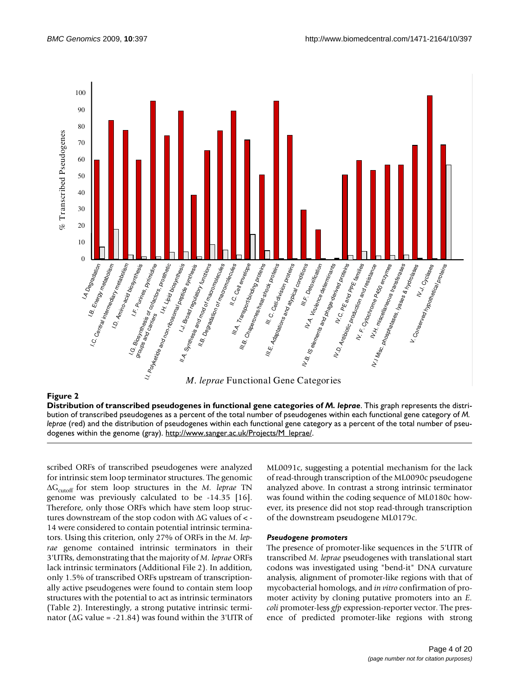

#### **Figure 2** Distribution of transcribed pseudogenes in functional gene categories of *M. leprae*

**Distribution of transcribed pseudogenes in functional gene categories of** *M. leprae*. This graph represents the distribution of transcribed pseudogenes as a percent of the total number of pseudogenes within each functional gene category of *M. leprae* (red) and the distribution of pseudogenes within each functional gene category as a percent of the total number of pseudogenes within the genome (gray). [http://www.sanger.ac.uk/Projects/M\\_leprae/](http://www.sanger.ac.uk/Projects/M_leprae/).

scribed ORFs of transcribed pseudogenes were analyzed for intrinsic stem loop terminator structures. The genomic ΔGcutoff for stem loop structures in the *M. leprae* TN genome was previously calculated to be -14.35 [16]. Therefore, only those ORFs which have stem loop structures downstream of the stop codon with ΔG values of < - 14 were considered to contain potential intrinsic terminators. Using this criterion, only 27% of ORFs in the *M. leprae* genome contained intrinsic terminators in their 3'UTRs, demonstrating that the majority of *M. leprae* ORFs lack intrinsic terminators (Additional File 2). In addition, only 1.5% of transcribed ORFs upstream of transcriptionally active pseudogenes were found to contain stem loop structures with the potential to act as intrinsic terminators (Table 2). Interestingly, a strong putative intrinsic terminator ( $\Delta G$  value = -21.84) was found within the 3'UTR of ML0091c, suggesting a potential mechanism for the lack of read-through transcription of the ML0090c pseudogene analyzed above. In contrast a strong intrinsic terminator was found within the coding sequence of ML0180c however, its presence did not stop read-through transcription of the downstream pseudogene ML0179c.

#### *Pseudogene promoters*

The presence of promoter-like sequences in the 5'UTR of transcribed *M. leprae* pseudogenes with translational start codons was investigated using "bend-it" DNA curvature analysis, alignment of promoter-like regions with that of mycobacterial homologs, and *in vitro* confirmation of promoter activity by cloning putative promoters into an *E. coli* promoter-less *gfp* expression-reporter vector. The presence of predicted promoter-like regions with strong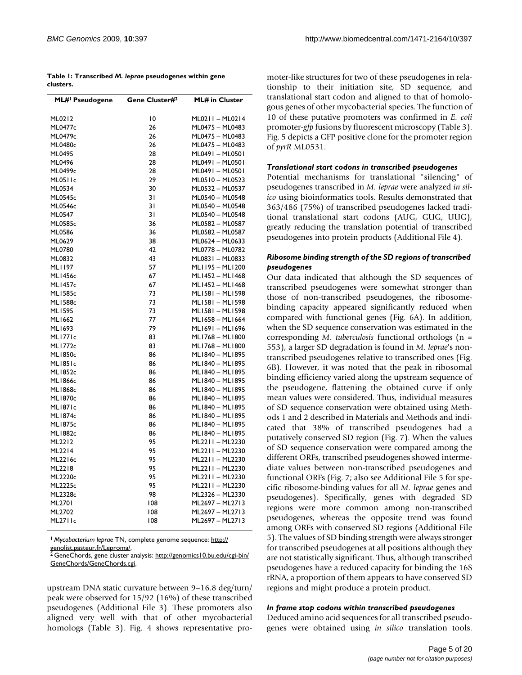|           | Table 1: Transcribed M. leprae pseudogenes within gene |  |
|-----------|--------------------------------------------------------|--|
| clusters. |                                                        |  |

| ML# <sup>1</sup> Pseudogene | Gene Cluster# <sup>2</sup> | <b>ML#</b> in Cluster |  |
|-----------------------------|----------------------------|-----------------------|--|
| ML0212                      | 10                         | ML0211 - ML0214       |  |
| ML0477c                     | 26                         | ML0475 - ML0483       |  |
| ML0479c                     | 26                         | ML0475 - ML0483       |  |
| ML0480c                     | 26                         | ML0475 - ML0483       |  |
| ML0495                      | 28                         | ML0491 - ML0501       |  |
| ML0496                      | 28                         | ML0491 - ML0501       |  |
| ML0499c                     | 28                         | ML0491 - ML0501       |  |
| ML0511c                     | 29                         | ML0510 - ML0523       |  |
| ML0534                      | 30                         | ML0532 - ML0537       |  |
| <b>ML0545c</b>              | 31                         | ML0540 - ML0548       |  |
| ML0546c                     | 31                         | ML0540 - ML0548       |  |
| ML0547                      | 31                         | ML0540 - ML0548       |  |
| ML0585c                     | 36                         | ML0582 - ML0587       |  |
| ML0586                      | 36                         | ML0582 - ML0587       |  |
| ML0629                      | 38                         | ML0624 - ML0633       |  |
| ML0780                      | 42                         | ML0778 - ML0782       |  |
| ML0832                      | 43                         | ML0831 - ML0833       |  |
| <b>MLI197</b>               | 57                         | MLI195 - MLI200       |  |
| <b>ML1456c</b>              | 67                         | ML1452 - ML1468       |  |
| <b>ML1457c</b>              | 67                         | ML1452 - ML1468       |  |
| <b>ML1585c</b>              | 73                         | ML1581 - ML1598       |  |
| <b>ML1588c</b>              | 73                         | ML1581 - ML1598       |  |
| <b>ML1595</b>               | 73                         | ML1581 - ML1598       |  |
| <b>ML1662</b>               | 77                         | ML1658 - ML1664       |  |
| ML1693                      | 79                         | ML1691 - ML1696       |  |
| ML1771c                     | 83                         | ML1768 - ML1800       |  |
| <b>ML1772c</b>              | 83                         | ML1768 - ML1800       |  |
| <b>ML1850c</b>              | 86                         | ML1840 - ML1895       |  |
| ML1851c                     | 86                         | ML1840 - ML1895       |  |
| <b>ML1852c</b>              | 86                         | ML1840 - ML1895       |  |
| <b>ML1866c</b>              | 86                         | ML1840 - ML1895       |  |
| <b>ML1868c</b>              | 86                         | ML1840 - ML1895       |  |
| <b>ML1870c</b>              | 86                         | ML1840 - ML1895       |  |
| ML1871c                     | 86                         | ML1840 - ML1895       |  |
| <b>ML1874c</b>              | 86                         | ML1840 - ML1895       |  |
| <b>ML1875c</b>              | 86                         | ML1840 - ML1895       |  |
| <b>ML1882c</b>              | 86                         | ML1840 - ML1895       |  |
| ML2212                      | 95                         | ML2211 - ML2230       |  |
| ML2214                      | 95                         | ML2211 - ML2230       |  |
| ML2216c                     | 95                         | ML2211 - ML2230       |  |
| ML2218                      | 95                         | ML2211 - ML2230       |  |
| ML2220c                     | 95                         | ML2211 - ML2230       |  |
| ML2225c                     | 95                         | ML2211 - ML2230       |  |
| ML2328c                     | 98                         | ML2326 - ML2330       |  |
| ML2701                      | 108                        | ML2697 - ML2713       |  |
| ML2702                      | 108                        | ML2697 - ML2713       |  |
| ML2711c                     | 108                        | ML2697 - ML2713       |  |

<sup>1</sup>*Mycobacterium leprae* TN, complete genome sequence: [http://](http://genolist.pasteur.fr/Leproma/) [genolist.pasteur.fr/Leproma/](http://genolist.pasteur.fr/Leproma/).

<sup>2</sup> GeneChords, gene cluster analysis: [http://genomics10.bu.edu/cgi-bin/](http://genomics10.bu.edu/cgi-bin/GeneChords/GeneChords.cgi) [GeneChords/GeneChords.cgi.](http://genomics10.bu.edu/cgi-bin/GeneChords/GeneChords.cgi)

upstream DNA static curvature between 9–16.8 deg/turn/ peak were observed for 15/92 (16%) of these transcribed pseudogenes (Additional File 3). These promoters also aligned very well with that of other mycobacterial homologs (Table 3). Fig. 4 shows representative promoter-like structures for two of these pseudogenes in relationship to their initiation site, SD sequence, and translational start codon and aligned to that of homologous genes of other mycobacterial species. The function of 10 of these putative promoters was confirmed in *E. coli* promoter-*gfp* fusions by fluorescent microscopy (Table 3). Fig. 5 depicts a GFP positive clone for the promoter region of *pyrR* ML0531.

#### *Translational start codons in transcribed pseudogenes*

Potential mechanisms for translational "silencing" of pseudogenes transcribed in *M. leprae* were analyzed *in silico* using bioinformatics tools. Results demonstrated that 363/486 (75%) of transcribed pseudogenes lacked traditional translational start codons (AUG, GUG, UUG), greatly reducing the translation potential of transcribed pseudogenes into protein products (Additional File 4).

#### *Ribosome binding strength of the SD regions of transcribed pseudogenes*

Our data indicated that although the SD sequences of transcribed pseudogenes were somewhat stronger than those of non-transcribed pseudogenes, the ribosomebinding capacity appeared significantly reduced when compared with functional genes (Fig. 6A). In addition, when the SD sequence conservation was estimated in the corresponding *M. tuberculosis* functional orthologs (n = 553), a larger SD degradation is found in *M. leprae*'s nontranscribed pseudogenes relative to transcribed ones (Fig. 6B). However, it was noted that the peak in ribosomal binding efficiency varied along the upstream sequence of the pseudogene, flattening the obtained curve if only mean values were considered. Thus, individual measures of SD sequence conservation were obtained using Methods 1 and 2 described in Materials and Methods and indicated that 38% of transcribed pseudogenes had a putatively conserved SD region (Fig. 7). When the values of SD sequence conservation were compared among the different ORFs, transcribed pseudogenes showed intermediate values between non-transcribed pseudogenes and functional ORFs (Fig. 7; also see Additional File 5 for specific ribosome-binding values for all *M. leprae* genes and pseudogenes). Specifically, genes with degraded SD regions were more common among non-transcribed pseudogenes, whereas the opposite trend was found among ORFs with conserved SD regions (Additional File 5). The values of SD binding strength were always stronger for transcribed pseudogenes at all positions although they are not statistically significant. Thus, although transcribed pseudogenes have a reduced capacity for binding the 16S rRNA, a proportion of them appears to have conserved SD regions and might produce a protein product.

#### *In frame stop codons within transcribed pseudogenes*

Deduced amino acid sequences for all transcribed pseudogenes were obtained using *in silico* translation tools.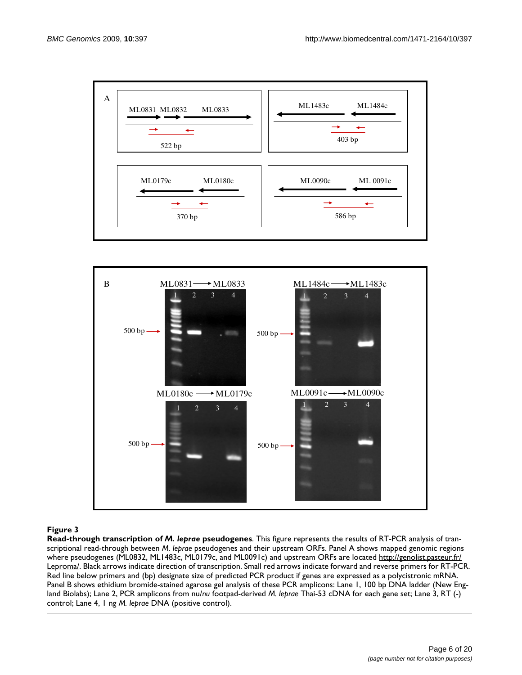



**Read-through transcription of** *M. leprae* **pseudogenes**. This figure represents the results of RT-PCR analysis of transcriptional read-through between *M. leprae* pseudogenes and their upstream ORFs. Panel A shows mapped genomic regions where pseudogenes (ML0832, ML1483c, ML0179c, and ML0091c) and upstream ORFs are located [http://genolist.pasteur.fr/](http://genolist.pasteur.fr/Leproma/) Lepromal. Black arrows indicate direction of transcription. Small red arrows indicate forward and reverse primers for RT-PCR. Red line below primers and (bp) designate size of predicted PCR product if genes are expressed as a polycistronic mRNA. Panel B shows ethidium bromide-stained agarose gel analysis of these PCR amplicons: Lane 1, 100 bp DNA ladder (New England Biolabs); Lane 2, PCR amplicons from nu/*nu* footpad-derived *M. leprae* Thai-53 cDNA for each gene set; Lane 3, RT (-) control; Lane 4, 1 ng *M. leprae* DNA (positive control).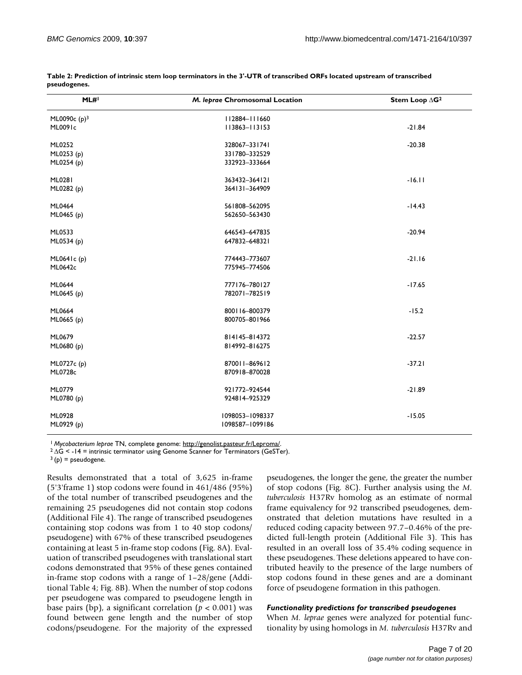| MLH           | M. leprae Chromosomal Location | Stem Loop $\Delta G^2$ |
|---------------|--------------------------------|------------------------|
| ML0090c (p)3  | 112884-111660                  |                        |
| ML0091c       | 113863-113153                  | $-21.84$               |
| ML0252        | 328067-331741                  | $-20.38$               |
| ML0253 (p)    | 331780-332529                  |                        |
| ML0254 (p)    | 332923-333664                  |                        |
| ML0281        | 363432-364121                  | $-16.11$               |
| ML0282 (p)    | 364131-364909                  |                        |
| <b>ML0464</b> | 561808-562095                  | $-14.43$               |
| ML0465 (p)    | 562650-563430                  |                        |
| ML0533        | 646543-647835                  | $-20.94$               |
| ML0534 (p)    | 647832-648321                  |                        |
| ML0641c (p)   | 774443-773607                  | $-21.16$               |
| ML0642c       | 775945-774506                  |                        |
| ML0644        | 777176-780127                  | $-17.65$               |
| ML0645 (p)    | 782071-782519                  |                        |
| ML0664        | 800116-800379                  | $-15.2$                |
| ML0665 (p)    | 800705-801966                  |                        |
| ML0679        | 814145-814372                  | $-22.57$               |
| ML0680 (p)    | 814992-816275                  |                        |
| ML0727c (p)   | 870011-869612                  | $-37.21$               |
| ML0728c       | 870918-870028                  |                        |
| ML0779        | 921772-924544                  | $-21.89$               |
| ML0780 (p)    | 924814-925329                  |                        |
| ML0928        | 1098053-1098337                | $-15.05$               |
| ML0929 (p)    | 1098587-1099186                |                        |

**Table 2: Prediction of intrinsic stem loop terminators in the 3'-UTR of transcribed ORFs located upstream of transcribed pseudogenes.**

<sup>1</sup>*Mycobacterium leprae* TN, complete genome: [http://genolist.pasteur.fr/Leproma/.](http://genolist.pasteur.fr/Leproma/)

<sup>2</sup>ΔG < -14 = intrinsic terminator using Genome Scanner for Terminators (GeSTer).

 $3(p)$  = pseudogene.

Results demonstrated that a total of 3,625 in-frame (5'3'frame 1) stop codons were found in 461/486 (95%) of the total number of transcribed pseudogenes and the remaining 25 pseudogenes did not contain stop codons (Additional File 4). The range of transcribed pseudogenes containing stop codons was from 1 to 40 stop codons/ pseudogene) with 67% of these transcribed pseudogenes containing at least 5 in-frame stop codons (Fig. 8A). Evaluation of transcribed pseudogenes with translational start codons demonstrated that 95% of these genes contained in-frame stop codons with a range of 1–28/gene (Additional Table 4; Fig. 8B). When the number of stop codons per pseudogene was compared to pseudogene length in base pairs (bp), a significant correlation ( $p < 0.001$ ) was found between gene length and the number of stop codons/pseudogene. For the majority of the expressed pseudogenes, the longer the gene, the greater the number of stop codons (Fig. 8C). Further analysis using the *M. tuberculosis* H37Rv homolog as an estimate of normal frame equivalency for 92 transcribed pseudogenes, demonstrated that deletion mutations have resulted in a reduced coding capacity between 97.7–0.46% of the predicted full-length protein (Additional File 3). This has resulted in an overall loss of 35.4% coding sequence in these pseudogenes. These deletions appeared to have contributed heavily to the presence of the large numbers of stop codons found in these genes and are a dominant force of pseudogene formation in this pathogen.

#### *Functionality predictions for transcribed pseudogenes*

When *M. leprae* genes were analyzed for potential functionality by using homologs in *M. tuberculosis* H37Rv and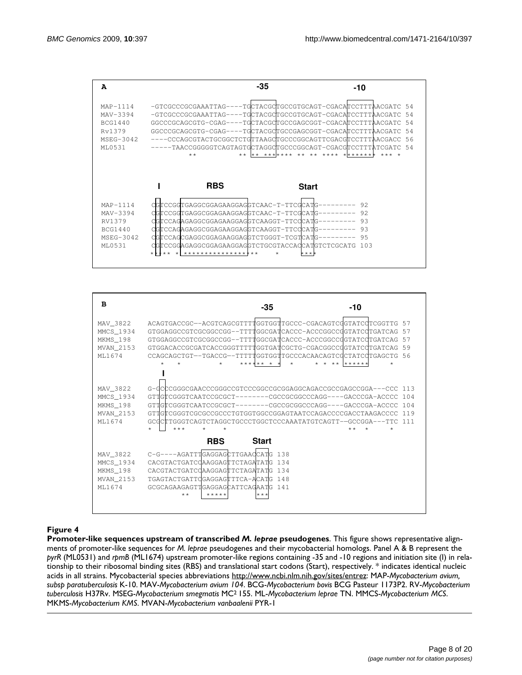| A                                                                   |                                                                                                                                                                                                                                                                                                                                                                                                                               | -35                          | -10                        |
|---------------------------------------------------------------------|-------------------------------------------------------------------------------------------------------------------------------------------------------------------------------------------------------------------------------------------------------------------------------------------------------------------------------------------------------------------------------------------------------------------------------|------------------------------|----------------------------|
| MAP-1114<br>MAV-3394<br>BCG1440<br>Ry1379<br>$MSEG-3042$<br>MT.0531 | -GTCGCCCGCGAAATTAG----TGCTACGCTGCCGTGCAGT-CGACATCCTTTAACGATC 54<br>-GTCGCCCGCGAAATTAG----TGCTACGCTGCCGTGCAGT-CGACATCCTTTAACGATC<br>GGCCCGCAGCGTG-CGAG----TGCTACGCTGCCGAGCGGT-CGACATCCTTTAACGATC<br>GGCCCGCAGCGTG-CGAG----TGCTACGCTGCCGAGCGGT-CGACATCCTTTAACGATC<br>----CCCAGCGTACTGCGGCTCTGTTAAGCTGCCCGGCAGTTCGACGTCCTTTAACGACC<br>-----TAACCGGGGGTCAGTAGTGCTAGGClTGCCCGGCAGT-CGACGlTCCTTTATCGATC 54<br>$***$<br>* *<br>$+ +$ | ******** ** ** **** ******** | -54<br>***                 |
|                                                                     | <b>RBS</b>                                                                                                                                                                                                                                                                                                                                                                                                                    | <b>Start</b>                 |                            |
| MAP-1114<br>MAV-3394<br>RV1379<br>BCG1440<br>$MSEG-3042$<br>MT.0531 | CGTCCGGTGAGGCGGAGAAGGAGGTCAAC-T-TTCGCATG-<br>CGTCCGGTGAGGCGGAGAAGGAGGTCAAC-T-TTCGCATG-<br>CGTCCAGAGAGGCGGAGAAGGAGGTCAAGGT-TTCCCATG<br>CGTCCAGAGAGCCGGAGAAGGAGGTCAAGGT-TTCCCATG<br>CGTCCAGCGAGGCGGAGAAGGAGGTCTGGGT-TCGTCATG--<br>CGFCCGGAGAGGCGGAGAGGAGGTCTGCGTACCACCATGTCTCGCATG 103<br>***<br>******************                                                                                                             | * * * 1                      | 92<br>92<br>93<br>93<br>95 |

| в                | -35<br>-10                                                                 |  |
|------------------|----------------------------------------------------------------------------|--|
| MAV 3822         | ACAGTGACCGC--ACGTCAGCGTTTTGGTGGTTGCCC-CGACAGTCGGTATCCTCGGTTG 57            |  |
| MMCS 1934        | GTGGAGGCCGTCGCGGCCGG--TTTTGGCGATCACCC-ACCCGGCCGGTATCCTGATCAG 57            |  |
| MKMS 198         | GTGGAGGCCGTCGCGGCCGG--TTTTGGCGATCACCC-ACCCGGCCGGTATCCTGATCAG 57            |  |
| MVAN 2153        | GTGGACACCGCGATCACCGGGTTTTTGGTGATCGCTG-CGACGGCCGGTATCCTGATCAG 59            |  |
| MT 1674          | CCAGCAGCTGT--TGACCG--TTTTTGGTGGTTGCCCACAACAGTCGCTATCCTGAGCTG 56            |  |
|                  | ****** * *<br>$\star$<br>$\star$<br>$^{\star}$<br>******<br>$\star$<br>* * |  |
|                  |                                                                            |  |
| MAV 3822         | G-dcccgggggaacccgggccgtcccggccggaggcagaccgccgagccgga---ccc 113             |  |
| MMCS 1934        | GTIGTCGGGTCAATCCGCGCT-------CGCCGCGGCCCAGG----GACCCGA-ACCCC 104            |  |
| MKMS 198         | GTIGTCGGGTCAATCCGCGCT-------CGCCGCGGCCCAGG----GACCCGA-ACCCC 104            |  |
| MVAN 2153        | GTTGTCGGGTCGCGCCCCCCTGTGGTGGCCGGAGTAATCCAGACCCCGACCTAAGACCCC 119           |  |
| MT 1674          | GCGCTTGGGTCAGTCTAGGCTGCCCTGGCTCCCAAATATGTCAGTT--GCCGGA---TTC 111           |  |
|                  | $***$<br>$\star$<br>$***$<br>$\star$<br>$\star$<br>$\star$                 |  |
|                  | <b>Start</b><br><b>RBS</b>                                                 |  |
| MAV 3822         | C-G----AGATTTGAGGAGCTTGAACCATG 138                                         |  |
| MMCS 1934        | CACGTACTGATCCAAGGAGTTCTAGATATG 134                                         |  |
| MKMS 198         | CACGTACTGATCCAAGGAGTTCTAGATATG 134                                         |  |
| <b>MVAN 2153</b> | TGAGTACTGATTOGAGGAGTTTCA-ACATG 148                                         |  |
| MT 1674          | GCGCAGAAGAGTTGAGGAGCATTCAGAATG 141                                         |  |
|                  | $***$<br>*****<br>* * *                                                    |  |
|                  |                                                                            |  |

**Promoter-like sequences upstream of transcribed** *M. leprae* **pseudogenes**. This figure shows representative alignments of promoter-like sequences for *M. leprae* pseudogenes and their mycobacterial homologs. Panel A & B represent the *pyrR* (ML0531) and *rpmB* (ML1674) upstream promoter-like regions containing -35 and -10 regions and initiation site (I) in relationship to their ribosomal binding sites (RBS) and translational start codons (Start), respectively. \* indicates identical nucleic acids in all strains. Mycobacterial species abbreviations<http://www.ncbi.nlm.nih.gov/sites/entrez>: MAP-*Mycobacterium avium, subsp paratuberculosis* K-10. MAV-*Mycobacterium avium 104*. BCG-*Mycobacterium bovis* BCG Pasteur 1173P2. RV-*Mycobacterium tuberculosis* H37Rv. MSEG-*Mycobacterium smegmatis* MC2 155. ML-*Mycobacterium leprae* TN. MMCS-*Mycobacterium MCS*. MKMS-*Mycobacterium KMS*. MVAN-*Mycobacterium vanbaalenii* PYR-1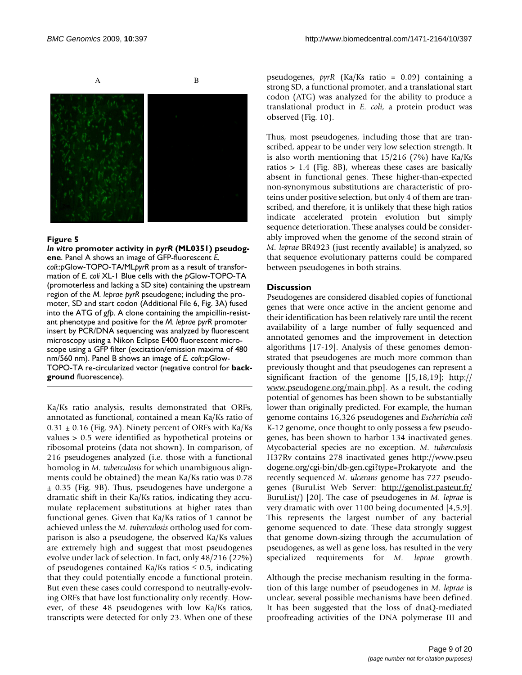

*In vitro* **promoter activity in** *pyrR* **(ML0351) pseudogene**. Panel A shows an image of GFP-fluorescent *E. coli*::*p*Glow-TOPO-TA/ML*pyrR* prom as a result of transformation of *E. coli* XL-1 Blue cells with the *p*Glow-TOPO-TA (promoterless and lacking a SD site) containing the upstream region of the *M. leprae pyrR* pseudogene; including the promoter, SD and start codon (Additional File 6, Fig. 3A) fused into the ATG of *gfp*. A clone containing the ampicillin-resistant phenotype and positive for the *M. leprae pyrR* promoter insert by PCR/DNA sequencing was analyzed by fluorescent microscopy using a Nikon Eclipse E400 fluorescent microscope using a GFP filter (excitation/emission maxima of 480 nm/560 nm). Panel B shows an image of *E. coli*::pGlow-TOPO-TA re-circularized vector (negative control for **background** fluorescence).

Ka/Ks ratio analysis, results demonstrated that ORFs, annotated as functional, contained a mean Ka/Ks ratio of  $0.31 \pm 0.16$  (Fig. 9A). Ninety percent of ORFs with Ka/Ks values > 0.5 were identified as hypothetical proteins or ribosomal proteins (data not shown). In comparison, of 216 pseudogenes analyzed (i.e. those with a functional homolog in *M. tuberculosis* for which unambiguous alignments could be obtained) the mean Ka/Ks ratio was 0.78 ± 0.35 (Fig. 9B). Thus, pseudogenes have undergone a dramatic shift in their Ka/Ks ratios, indicating they accumulate replacement substitutions at higher rates than functional genes. Given that Ka/Ks ratios of 1 cannot be achieved unless the *M. tuberculosis* ortholog used for comparison is also a pseudogene, the observed Ka/Ks values are extremely high and suggest that most pseudogenes evolve under lack of selection. In fact, only 48/216 (22%) of pseudogenes contained Ka/Ks ratios  $\leq 0.5$ , indicating that they could potentially encode a functional protein. But even these cases could correspond to neutrally-evolving ORFs that have lost functionality only recently. However, of these 48 pseudogenes with low Ka/Ks ratios, transcripts were detected for only 23. When one of these pseudogenes, *pyrR* (Ka/Ks ratio = 0.09) containing a strong SD, a functional promoter, and a translational start codon (ATG) was analyzed for the ability to produce a translational product in *E. coli*, a protein product was observed (Fig. 10).

Thus, most pseudogenes, including those that are transcribed, appear to be under very low selection strength. It is also worth mentioning that 15/216 (7%) have Ka/Ks ratios > 1.4 (Fig. 8B), whereas these cases are basically absent in functional genes. These higher-than-expected non-synonymous substitutions are characteristic of proteins under positive selection, but only 4 of them are transcribed, and therefore, it is unlikely that these high ratios indicate accelerated protein evolution but simply sequence deterioration. These analyses could be considerably improved when the genome of the second strain of *M. leprae* BR4923 (just recently available) is analyzed, so that sequence evolutionary patterns could be compared between pseudogenes in both strains.

# **Discussion**

Pseudogenes are considered disabled copies of functional genes that were once active in the ancient genome and their identification has been relatively rare until the recent availability of a large number of fully sequenced and annotated genomes and the improvement in detection algorithms [17-19]. Analysis of these genomes demonstrated that pseudogenes are much more common than previously thought and that pseudogenes can represent a significant fraction of the genome  $[5,18,19]$ ; [http://](http://www.pseudogene.org/main.php) [www.pseudogene.org/main.php\]](http://www.pseudogene.org/main.php). As a result, the coding potential of genomes has been shown to be substantially lower than originally predicted. For example, the human genome contains 16,326 pseudogenes and *Escherichia coli* K-12 genome, once thought to only possess a few pseudogenes, has been shown to harbor 134 inactivated genes. Mycobacterial species are no exception. *M. tuberculosis* H37Rv contains 278 inactivated genes [http://www.pseu](http://www.pseudogene.org/cgi-bin/db-gen.cgi?type=Prokaryote) [dogene.org/cgi-bin/db-gen.cgi?type=Prokaryote](http://www.pseudogene.org/cgi-bin/db-gen.cgi?type=Prokaryote) and the recently sequenced *M. ulcerans* genome has 727 pseudogenes (BuruList Web Server: [http://genolist.pasteur.fr/](http://genolist.pasteur.fr/BuruList/) [BuruList/\)](http://genolist.pasteur.fr/BuruList/) [20]. The case of pseudogenes in *M. leprae* is very dramatic with over 1100 being documented [4,5,9]. This represents the largest number of any bacterial genome sequenced to date. These data strongly suggest that genome down-sizing through the accumulation of pseudogenes, as well as gene loss, has resulted in the very specialized requirements for *M. leprae* growth.

Although the precise mechanism resulting in the formation of this large number of pseudogenes in *M. leprae* is unclear, several possible mechanisms have been defined. It has been suggested that the loss of dnaQ-mediated proofreading activities of the DNA polymerase III and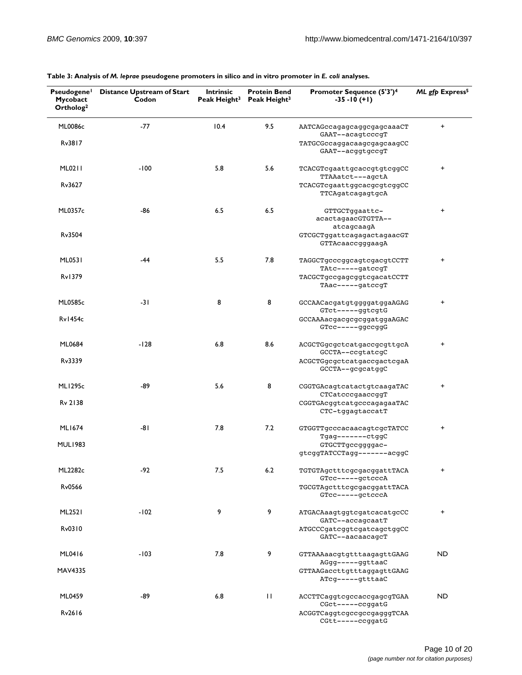| Pseudogene <sup>1</sup><br>Mycobact<br>Ortholog <sup>2</sup> | <b>Distance Upstream of Start</b><br>Codon | <b>Intrinsic</b> | <b>Protein Bend</b><br>Peak Height <sup>3</sup> Peak Height <sup>3</sup> | Promoter Sequence (5'3') <sup>4</sup><br>$-35 - 10 (+1)$     | ML gfp Express <sup>5</sup>      |
|--------------------------------------------------------------|--------------------------------------------|------------------|--------------------------------------------------------------------------|--------------------------------------------------------------|----------------------------------|
| ML0086c                                                      | $-77$                                      | 10.4             | 9.5                                                                      | AATCAGccagagcaggcgagcaaaCT<br>GAAT--acagtcccqT               | $\ddot{}$                        |
| Rv3817                                                       |                                            |                  |                                                                          | TATGCGccaggacaagcgagcaagCC<br>GAAT--acggtgccgT               |                                  |
| ML0211                                                       | $-100$                                     | 5.8              | 5.6                                                                      | TCACGTcgaattgcaccgtgtcggCC<br>TTAAatct---aqctA               | $\ddot{}$                        |
| Rv3627                                                       |                                            |                  |                                                                          | TCACGTcgaattggcacgcgtcggCC<br>TTCAgatcagagtgcA               |                                  |
| ML0357c                                                      | -86                                        | 6.5              | 6.5                                                                      | GTTGCTggaattc-<br>acactagaacGTGTTA--                         | $\ddot{}$                        |
| Rv3504                                                       |                                            |                  |                                                                          | atcagcaagA<br>GTCGCTggattcagagactagaacGT<br>GTTAcaaccgggaagA |                                  |
| ML0531                                                       | $-44$                                      | 5.5              | 7.8                                                                      | TAGGCTgcccggcagtcgacgtCCTT<br>TAtc-----gatccgT               | $\ddot{}$                        |
| <b>Rv1379</b>                                                |                                            |                  |                                                                          | TACGCTgccgagcggtcgacatCCTT<br>TAac-----gatccgT               |                                  |
| ML0585c                                                      | $-31$                                      | 8                | 8                                                                        | GCCAACacgatgtggggatggaAGAG<br>GTct-----qqtcqtG               | $\ddot{}$                        |
| <b>Rv1454c</b>                                               |                                            |                  |                                                                          | GCCAAAacgacgcgcggatggaAGAC<br>GTcc-----qqccqqG               |                                  |
| ML0684                                                       | $-128$                                     | 6.8              | 8.6                                                                      | ACGCTGgcgctcatgaccgcgttgcA<br>GCCTA--ccgtatcgC               | $\ddot{}$                        |
| Rv3339                                                       |                                            |                  |                                                                          | ACGCTGgcgctcatgaccgactcgaA<br>GCCTA--gcgcatggC               |                                  |
| <b>ML1295c</b>                                               | -89                                        | 5.6              | 8                                                                        | CGGTGAcagtcatactgtcaagaTAC<br>CTCatcccgaaccggT               | $\ddot{}$                        |
| Rv 2138                                                      |                                            |                  |                                                                          | CGGTGAcggtcatgcccagagaaTAC<br>CTC-tggagtaccatT               |                                  |
| <b>ML1674</b>                                                | -81                                        | 7.8              | 7.2                                                                      | GTGGTTgcccacaacagtcgcTATCC<br>Tgag-------ctggC               | $\ddot{}$                        |
| <b>MUL1983</b>                                               |                                            |                  |                                                                          | GTGCTTqccqqqqqac-<br>gtcggTATCCTagg-------acggC              |                                  |
| ML2282c                                                      | -92                                        | 7.5              | 6.2                                                                      | TGTGTAgctttcgcgacggattTACA<br>GTcc-----gctcccA               | $\ddot{}$                        |
| Rv0566                                                       |                                            |                  |                                                                          | TGCGTAgctttcgcgacggattTACA<br>GTcc-----gctcccA               |                                  |
| ML2521                                                       | $-102$                                     | 9                | 9                                                                        | ATGACAaagtggtcgatcacatgcCC<br>GATC--accagcaatT               | $\begin{array}{c} + \end{array}$ |
| Rv0310                                                       |                                            |                  |                                                                          | ATGCCCgatcggtcgatcagctggCC<br>GATC--aacaacagcT               |                                  |
| ML0416                                                       | $-103$                                     | 7.8              | 9                                                                        | GTTAAAaacgtgtttaagagttGAAG<br>AGgg-----ggttaaC               | ND                               |
| MAV4335                                                      |                                            |                  |                                                                          | GTTAAGaccttgtttaggagttGAAG<br>ATcg-----gtttaaC               |                                  |
| ML0459                                                       | -89                                        | 6.8              | $\mathbf{H}$                                                             | ACCTTCaggtcgccaccgagcgTGAA<br>CGct-----ccggatG               | ND.                              |
| Rv2616                                                       |                                            |                  |                                                                          | ACGGTCaggtcgccgccgagggTCAA<br>CGtt-----ccggatG               |                                  |

**Table 3: Analysis of** *M. leprae* **pseudogene promoters in silico and in vitro promoter in** *E. coli* **analyses.**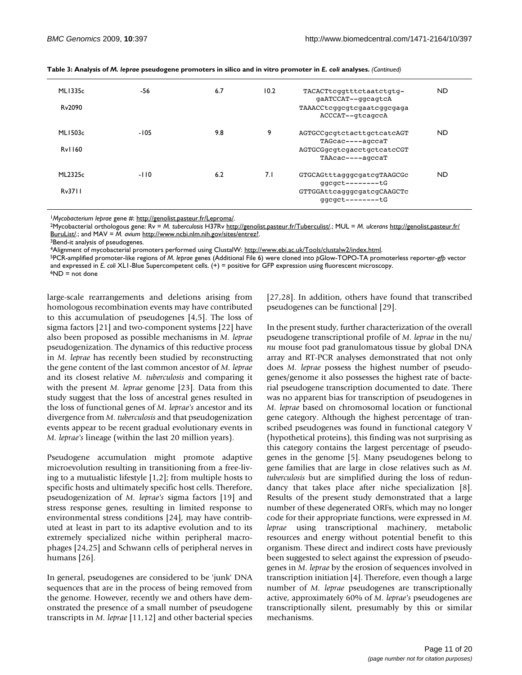| <b>ML1335c</b> | -56    | 6.7 | 10.2 | TACACTtcqqtttctaatctqtq-<br>qaATCCAT--qqcaqtcA | ND.       |
|----------------|--------|-----|------|------------------------------------------------|-----------|
| Rv2090         |        |     |      | TAAACCtcqqcqtcqaatcqqcqaqa<br>ACCCAT--qtcaqccA |           |
| <b>ML1503c</b> | $-105$ | 9.8 | 9    | AGTGCCqcqtctacttqctcatcAGT<br>TAGcac----agccaT | <b>ND</b> |
| <b>Rv1160</b>  |        |     |      | AGTGCGqcqtcqacctqctcatcCGT<br>TAAcac----aqccaT |           |
| ML2325c        | $-110$ | 6.2 | 7.1  | GTGCAGtttagggcgatcgTAAGCGc<br>qqcqct--------tG | <b>ND</b> |
| Rv3711         |        |     |      | GTTGGAttcagggcgatcgCAAGCTc<br>qqcqct--------tG |           |
|                |        |     |      |                                                |           |

|  |  | Table 3: Analysis of M. leprae pseudogene promoters in silico and in vitro promoter in E. coli analyses. (Continued) |  |  |
|--|--|----------------------------------------------------------------------------------------------------------------------|--|--|
|--|--|----------------------------------------------------------------------------------------------------------------------|--|--|

<sup>1</sup>*Mycobacterium leprae* gene #:<http://genolist.pasteur.fr/Leproma/>.

2Mycobacterial orthologous gene: Rv = *M. tuberculosis* H37Rv [http://genolist.pasteur.fr/Tuberculist/.](http://genolist.pasteur.fr/Tuberculist/); MUL = *M. ulcerans* [http://genolist.pasteur.fr/](http://genolist.pasteur.fr/BuruList/) [BuruList/](http://genolist.pasteur.fr/BuruList/).; and MAV = *M. avium* [http://www.ncbi.nlm.nih.gov/sites/entrez?.](http://www.ncbi.nlm.nih.gov/sites/entrez?)

3Bend-it analysis of pseudogenes.

4Alignment of mycobacterial promoters performed using ClustalW: <http://www.ebi.ac.uk/Tools/clustalw2/index.html>.

5PCR-amplified promoter-like regions of *M. leprae* genes (Additional File 6) were cloned into *p*Glow-TOPO-TA promoterless reporter-*gfp* vector and expressed in *E. coli* XL1-Blue Supercompetent cells. (+) = positive for GFP expression using fluorescent microscopy.

 $6ND = not done$ 

large-scale rearrangements and deletions arising from homologous recombination events may have contributed to this accumulation of pseudogenes [4,5]. The loss of sigma factors [21] and two-component systems [22] have also been proposed as possible mechanisms in *M. leprae* pseudogenization. The dynamics of this reductive process in *M. leprae* has recently been studied by reconstructing the gene content of the last common ancestor of *M. leprae* and its closest relative *M. tuberculosis* and comparing it with the present *M. leprae* genome [23]. Data from this study suggest that the loss of ancestral genes resulted in the loss of functional genes of *M. leprae's* ancestor and its divergence from *M. tuberculosis* and that pseudogenization events appear to be recent gradual evolutionary events in *M. leprae's* lineage (within the last 20 million years).

Pseudogene accumulation might promote adaptive microevolution resulting in transitioning from a free-living to a mutualistic lifestyle [1,2]; from multiple hosts to specific hosts and ultimately specific host cells. Therefore, pseudogenization of *M. leprae's* sigma factors [19] and stress response genes, resulting in limited response to environmental stress conditions [24], may have contributed at least in part to its adaptive evolution and to its extremely specialized niche within peripheral macrophages [24,25] and Schwann cells of peripheral nerves in humans [26].

In general, pseudogenes are considered to be 'junk' DNA sequences that are in the process of being removed from the genome. However, recently we and others have demonstrated the presence of a small number of pseudogene transcripts in *M. leprae* [11,12] and other bacterial species [27,28]. In addition, others have found that transcribed pseudogenes can be functional [29].

In the present study, further characterization of the overall pseudogene transcriptional profile of *M. leprae* in the nu/ *nu* mouse foot pad granulomatous tissue by global DNA array and RT-PCR analyses demonstrated that not only does *M. leprae* possess the highest number of pseudogenes/genome it also possesses the highest rate of bacterial pseudogene transcription documented to date. There was no apparent bias for transcription of pseudogenes in *M. leprae* based on chromosomal location or functional gene category. Although the highest percentage of transcribed pseudogenes was found in functional category V (hypothetical proteins), this finding was not surprising as this category contains the largest percentage of pseudogenes in the genome [5]. Many pseudogenes belong to gene families that are large in close relatives such as *M. tuberculosis* but are simplified during the loss of redundancy that takes place after niche specialization [8]. Results of the present study demonstrated that a large number of these degenerated ORFs, which may no longer code for their appropriate functions, were expressed in *M. leprae* using transcriptional machinery, metabolic resources and energy without potential benefit to this organism. These direct and indirect costs have previously been suggested to select against the expression of pseudogenes in *M. leprae* by the erosion of sequences involved in transcription initiation [4]. Therefore, even though a large number of *M. leprae* pseudogenes are transcriptionally active, approximately 60% of *M. leprae's* pseudogenes are transcriptionally silent, presumably by this or similar mechanisms.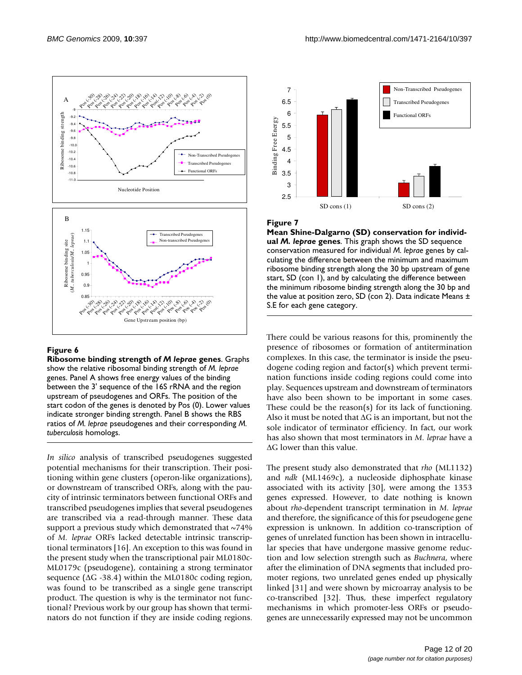

**Ribosome binding strength of** *M leprae* **genes**. Graphs show the relative ribosomal binding strength of *M. leprae*  genes. Panel A shows free energy values of the binding between the 3' sequence of the 16S rRNA and the region upstream of pseudogenes and ORFs. The position of the start codon of the genes is denoted by Pos (0). Lower values indicate stronger binding strength. Panel B shows the RBS ratios of *M. leprae* pseudogenes and their corresponding *M. tuberculosis* homologs.

*In silico* analysis of transcribed pseudogenes suggested potential mechanisms for their transcription. Their positioning within gene clusters (operon-like organizations), or downstream of transcribed ORFs, along with the paucity of intrinsic terminators between functional ORFs and transcribed pseudogenes implies that several pseudogenes are transcribed via a read-through manner. These data support a previous study which demonstrated that  $\sim$ 74% of *M. leprae* ORFs lacked detectable intrinsic transcriptional terminators [16]. An exception to this was found in the present study when the transcriptional pair ML0180c-ML0179c (pseudogene), containing a strong terminator sequence  $(\Delta G - 38.4)$  within the ML0180c coding region, was found to be transcribed as a single gene transcript product. The question is why is the terminator not functional? Previous work by our group has shown that terminators do not function if they are inside coding regions.



#### **Figure 7**

**Mean Shine-Dalgarno (SD) conservation for individual** *M. leprae* **genes**. This graph shows the SD sequence conservation measured for individual *M. leprae* genes by calculating the difference between the minimum and maximum ribosome binding strength along the 30 bp upstream of gene start, SD (con 1), and by calculating the difference between the minimum ribosome binding strength along the 30 bp and the value at position zero, SD (con 2). Data indicate Means  $\pm$ S.E for each gene category.

There could be various reasons for this, prominently the presence of ribosomes or formation of antitermination complexes. In this case, the terminator is inside the pseudogene coding region and factor(s) which prevent termination functions inside coding regions could come into play. Sequences upstream and downstream of terminators have also been shown to be important in some cases. These could be the reason(s) for its lack of functioning. Also it must be noted that  $\Delta G$  is an important, but not the sole indicator of terminator efficiency. In fact, our work has also shown that most terminators in *M. leprae* have a ΔG lower than this value.

The present study also demonstrated that *rho* (ML1132) and *ndk* (ML1469c), a nucleoside diphosphate kinase associated with its activity [30], were among the 1353 genes expressed. However, to date nothing is known about *rho*-dependent transcript termination in *M. leprae* and therefore, the significance of this for pseudogene gene expression is unknown. In addition co-transcription of genes of unrelated function has been shown in intracellular species that have undergone massive genome reduction and low selection strength such as *Buchnera*, where after the elimination of DNA segments that included promoter regions, two unrelated genes ended up physically linked [31] and were shown by microarray analysis to be co-transcribed [32]. Thus, these imperfect regulatory mechanisms in which promoter-less ORFs or pseudogenes are unnecessarily expressed may not be uncommon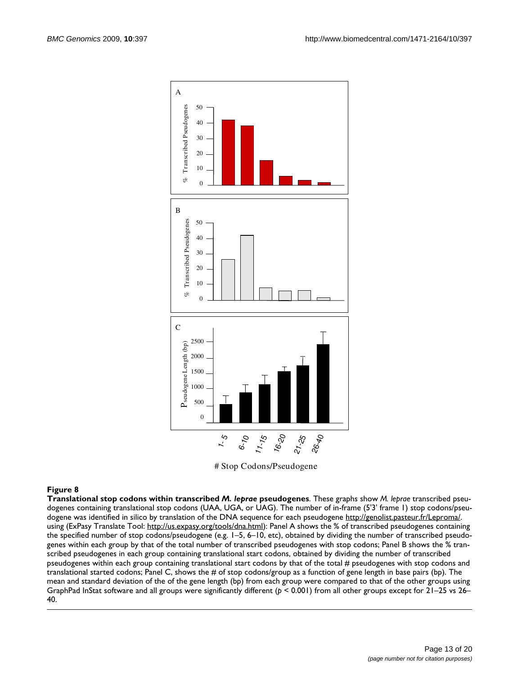

# Stop Codons/Pseudogene

**Translational stop codons within transcribed** *M. leprae* **pseudogenes**. These graphs show *M. leprae* transcribed pseudogenes containing translational stop codons (UAA, UGA, or UAG). The number of in-frame (5'3' frame 1) stop codons/pseudogene was identified in silico by translation of the DNA sequence for each pseudogene <http://genolist.pasteur.fr/Leproma/>. using (ExPasy Translate Tool: [http://us.expasy.org/tools/dna.html\)](http://us.expasy.org/tools/dna.html): Panel A shows the % of transcribed pseudogenes containing the specified number of stop codons/pseudogene (e.g. 1–5, 6–10, etc), obtained by dividing the number of transcribed pseudogenes within each group by that of the total number of transcribed pseudogenes with stop codons; Panel B shows the % transcribed pseudogenes in each group containing translational start codons, obtained by dividing the number of transcribed pseudogenes within each group containing translational start codons by that of the total # pseudogenes with stop codons and translational started codons; Panel C, shows the # of stop codons/group as a function of gene length in base pairs (bp). The mean and standard deviation of the of the gene length (bp) from each group were compared to that of the other groups using GraphPad InStat software and all groups were significantly different (*p* < 0.001) from all other groups except for 21–25 vs 26– 40.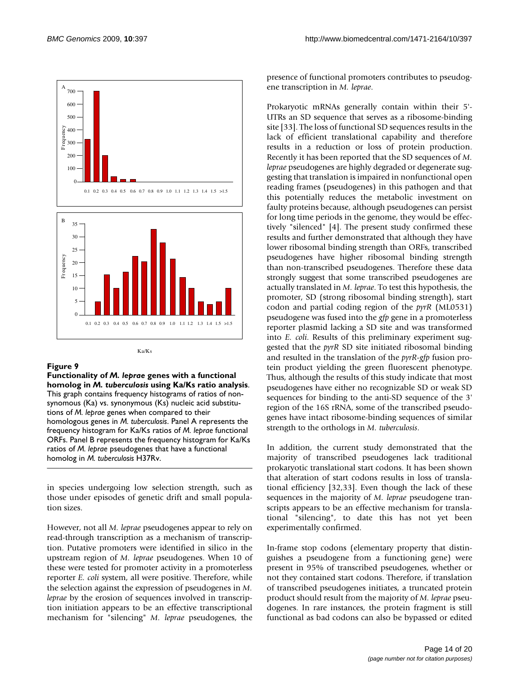

**Functionality of** *M. leprae* **genes with a functional homolog in** *M. tuberculosis* **using Ka/Ks ratio analysis**. This graph contains frequency histograms of ratios of nonsynomous (Ka) vs. synonymous (Ks) nucleic acid substitutions of *M. leprae* genes when compared to their homologous genes in *M. tuberculosis*. Panel A represents the frequency histogram for Ka/Ks ratios of *M. leprae* functional ORFs. Panel B represents the frequency histogram for Ka/Ks ratios of *M. leprae* pseudogenes that have a functional homolog in *M. tuberculosis* H37Rv.

in species undergoing low selection strength, such as those under episodes of genetic drift and small population sizes.

However, not all *M. leprae* pseudogenes appear to rely on read-through transcription as a mechanism of transcription. Putative promoters were identified in silico in the upstream region of *M. leprae* pseudogenes. When 10 of these were tested for promoter activity in a promoterless reporter *E. coli* system, all were positive. Therefore, while the selection against the expression of pseudogenes in *M. leprae* by the erosion of sequences involved in transcription initiation appears to be an effective transcriptional mechanism for "silencing" *M. leprae* pseudogenes, the presence of functional promoters contributes to pseudogene transcription in *M. leprae*.

Prokaryotic mRNAs generally contain within their 5'- UTRs an SD sequence that serves as a ribosome-binding site [33]. The loss of functional SD sequences results in the lack of efficient translational capability and therefore results in a reduction or loss of protein production. Recently it has been reported that the SD sequences of *M. leprae* pseudogenes are highly degraded or degenerate suggesting that translation is impaired in nonfunctional open reading frames (pseudogenes) in this pathogen and that this potentially reduces the metabolic investment on faulty proteins because, although pseudogenes can persist for long time periods in the genome, they would be effectively "silenced" [4]. The present study confirmed these results and further demonstrated that although they have lower ribosomal binding strength than ORFs, transcribed pseudogenes have higher ribosomal binding strength than non-transcribed pseudogenes. Therefore these data strongly suggest that some transcribed pseudogenes are actually translated in *M. leprae*. To test this hypothesis, the promoter, SD (strong ribosomal binding strength), start codon and partial coding region of the *pyrR* (ML0531) pseudogene was fused into the *gfp* gene in a promoterless reporter plasmid lacking a SD site and was transformed into *E. coli*. Results of this preliminary experiment suggested that the *pyrR* SD site initiated ribosomal binding and resulted in the translation of the *pyrR*-*gfp* fusion protein product yielding the green fluorescent phenotype. Thus, although the results of this study indicate that most pseudogenes have either no recognizable SD or weak SD sequences for binding to the anti-SD sequence of the 3' region of the 16S rRNA, some of the transcribed pseudogenes have intact ribosome-binding sequences of similar strength to the orthologs in *M. tuberculosis*.

In addition, the current study demonstrated that the majority of transcribed pseudogenes lack traditional prokaryotic translational start codons. It has been shown that alteration of start codons results in loss of translational efficiency [32,33]. Even though the lack of these sequences in the majority of *M. leprae* pseudogene transcripts appears to be an effective mechanism for translational "silencing", to date this has not yet been experimentally confirmed.

In-frame stop codons (elementary property that distinguishes a pseudogene from a functioning gene) were present in 95% of transcribed pseudogenes, whether or not they contained start codons. Therefore, if translation of transcribed pseudogenes initiates, a truncated protein product should result from the majority of *M. leprae* pseudogenes. In rare instances, the protein fragment is still functional as bad codons can also be bypassed or edited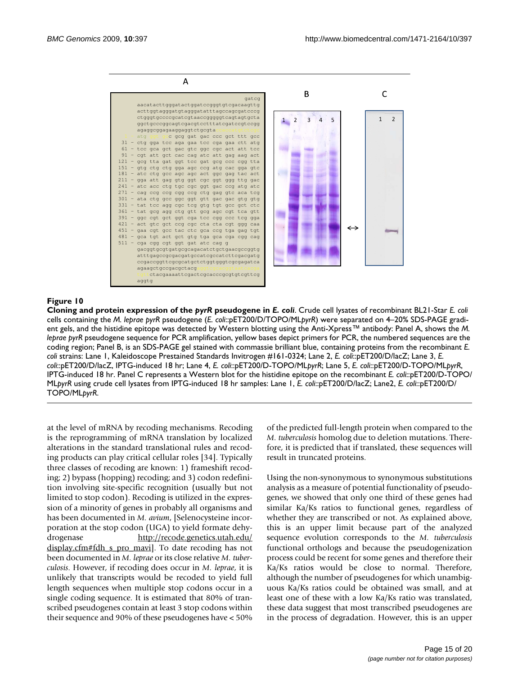

**Cloning and protein expression of the** *pyrR* **pseudogene in** *E. coli*. Crude cell lysates of recombinant BL21-Star *E. coli*  cells containing the *M. leprae pyrR* pseudogene (*E. coli*::pET200/D/TOPO/ML*pyrR*) were separated on 4–20% SDS-PAGE gradient gels, and the histidine epitope was detected by Western blotting using the Anti-Xpress™ antibody: Panel A, shows the *M. leprae pyrR* pseudogene sequence for PCR amplification, yellow bases depict primers for PCR, the numbered sequences are the coding region; Panel B, is an SDS-PAGE gel stained with commassie brilliant blue, containing proteins from the recombinant *E. coli* strains: Lane 1, Kaleidoscope Prestained Standards Invitrogen #161-0324; Lane 2, *E. coli*::pET200/D/lacZ; Lane 3, *E. coli*::pET200/D/lacZ, IPTG-induced 18 hr; Lane 4, *E. coli*::pET200/D-TOPO/ML*pyrR*; Lane 5, *E. coli*::pET200/D-TOPO/ML*pyrR*, IPTG-induced 18 hr. Panel C represents a Western blot for the histidine epitope on the recombinant *E. coli*::pET200/D-TOPO/ ML*pyrR* using crude cell lysates from IPTG-induced 18 hr samples: Lane 1, *E. coli*::pET200/D/lacZ; Lane2, *E. coli*::pET200/D/ TOPO/ML*pyrR*.

at the level of mRNA by recoding mechanisms. Recoding is the reprogramming of mRNA translation by localized alterations in the standard translational rules and recoding products can play critical cellular roles [34]. Typically three classes of recoding are known: 1) frameshift recoding; 2) bypass (hopping) recoding; and 3) codon redefinition involving site-specific recognition (usually but not limited to stop codon). Recoding is utilized in the expression of a minority of genes in probably all organisms and has been documented in *M. avium*, [Selenocysteine incorporation at the stop codon (UGA) to yield formate dehydrogenase [http://recode.genetics.utah.edu/](http://recode.genetics.utah.edu/display.cfm#fdh_s_pro_mavi) [display.cfm#fdh\\_s\\_pro\\_mavi](http://recode.genetics.utah.edu/display.cfm#fdh_s_pro_mavi)]. To date recoding has not been documented in *M. leprae* or its close relative *M. tuberculosis*. However, if recoding does occur in *M. leprae*, it is unlikely that transcripts would be recoded to yield full length sequences when multiple stop codons occur in a single coding sequence. It is estimated that 80% of transcribed pseudogenes contain at least 3 stop codons within their sequence and 90% of these pseudogenes have < 50% of the predicted full-length protein when compared to the *M. tuberculosis* homolog due to deletion mutations. Therefore, it is predicted that if translated, these sequences will result in truncated proteins.

Using the non-synonymous to synonymous substitutions analysis as a measure of potential functionality of pseudogenes, we showed that only one third of these genes had similar Ka/Ks ratios to functional genes, regardless of whether they are transcribed or not. As explained above, this is an upper limit because part of the analyzed sequence evolution corresponds to the *M. tuberculosis* functional orthologs and because the pseudogenization process could be recent for some genes and therefore their Ka/Ks ratios would be close to normal. Therefore, although the number of pseudogenes for which unambiguous Ka/Ks ratios could be obtained was small, and at least one of these with a low Ka/Ks ratio was translated, these data suggest that most transcribed pseudogenes are in the process of degradation. However, this is an upper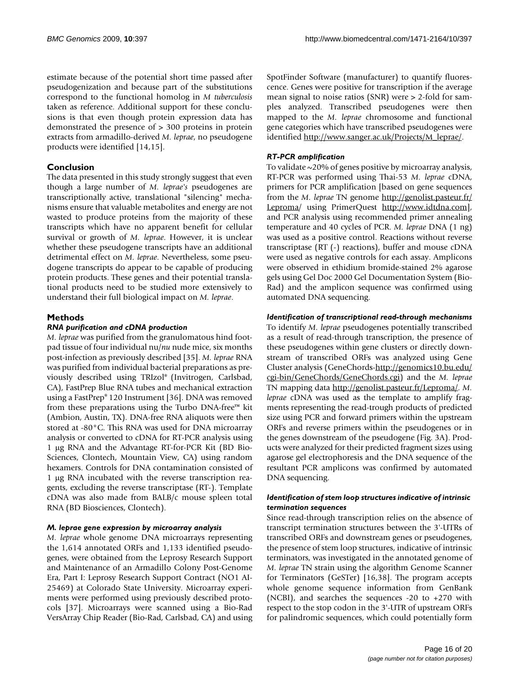estimate because of the potential short time passed after pseudogenization and because part of the substitutions correspond to the functional homolog in *M tuberculosis* taken as reference. Additional support for these conclusions is that even though protein expression data has demonstrated the presence of > 300 proteins in protein extracts from armadillo-derived *M. leprae*, no pseudogene products were identified [14,15].

# **Conclusion**

The data presented in this study strongly suggest that even though a large number of *M. leprae's* pseudogenes are transcriptionally active, translational "silencing" mechanisms ensure that valuable metabolites and energy are not wasted to produce proteins from the majority of these transcripts which have no apparent benefit for cellular survival or growth of *M. leprae*. However, it is unclear whether these pseudogene transcripts have an additional detrimental effect on *M. leprae*. Nevertheless, some pseudogene transcripts do appear to be capable of producing protein products. These genes and their potential translational products need to be studied more extensively to understand their full biological impact on *M. leprae*.

# **Methods**

# *RNA purification and cDNA production*

*M. leprae* was purified from the granulomatous hind footpad tissue of four individual nu/*nu* nude mice, six months post-infection as previously described [\[35](#page-19-0)]. *M. leprae* RNA was purified from individual bacterial preparations as previously described using TRIzol® (Invitrogen, Carlsbad, CA), FastPrep Blue RNA tubes and mechanical extraction using a FastPrep® 120 Instrument [[36](#page-19-1)]. DNA was removed from these preparations using the Turbo DNA-free™ kit (Ambion, Austin, TX). DNA-free RNA aliquots were then stored at -80°C. This RNA was used for DNA microarray analysis or converted to cDNA for RT-PCR analysis using 1 μg RNA and the Advantage RT-for-PCR Kit (BD Bio-Sciences, Clontech, Mountain View, CA) using random hexamers. Controls for DNA contamination consisted of 1 μg RNA incubated with the reverse transcription reagents, excluding the reverse transcriptase (RT-). Template cDNA was also made from BALB/c mouse spleen total RNA (BD Biosciences, Clontech).

# *M. leprae gene expression by microarray analysis*

*M. leprae* whole genome DNA microarrays representing the 1,614 annotated ORFs and 1,133 identified pseudogenes, were obtained from the Leprosy Research Support and Maintenance of an Armadillo Colony Post-Genome Era, Part I: Leprosy Research Support Contract (NO1 AI-25469) at Colorado State University. Microarray experiments were performed using previously described protocols [37]. Microarrays were scanned using a Bio-Rad VersArray Chip Reader (Bio-Rad, Carlsbad, CA) and using SpotFinder Software (manufacturer) to quantify fluorescence. Genes were positive for transcription if the average mean signal to noise ratios (SNR) were > 2-fold for samples analyzed. Transcribed pseudogenes were then mapped to the *M. leprae* chromosome and functional gene categories which have transcribed pseudogenes were identified [http://www.sanger.ac.uk/Projects/M\\_leprae/.](http://www.sanger.ac.uk/Projects/M_leprae/)

# *RT-PCR amplification*

To validate  $\sim$ 20% of genes positive by microarray analysis, RT-PCR was performed using Thai-53 *M. leprae* cDNA, primers for PCR amplification [based on gene sequences from the *M. leprae* TN genome [http://genolist.pasteur.fr/](http://genolist.pasteur.fr/Leproma) [Leproma/](http://genolist.pasteur.fr/Leproma) using PrimerQuest <http://www.idtdna.com>], and PCR analysis using recommended primer annealing temperature and 40 cycles of PCR. *M. leprae* DNA (1 ng) was used as a positive control. Reactions without reverse transcriptase (RT (-) reactions), buffer and mouse cDNA were used as negative controls for each assay. Amplicons were observed in ethidium bromide-stained 2% agarose gels using Gel Doc 2000 Gel Documentation System (Bio-Rad) and the amplicon sequence was confirmed using automated DNA sequencing.

#### *Identification of transcriptional read-through mechanisms*

To identify *M. leprae* pseudogenes potentially transcribed as a result of read-through transcription, the presence of these pseudogenes within gene clusters or directly downstream of transcribed ORFs was analyzed using Gene Cluster analysis (GeneChords[-http://genomics10.bu.edu/](http://genomics10.bu.edu/cgi-bin/GeneChords/GeneChords.cgi) [cgi-bin/GeneChords/GeneChords.cgi](http://genomics10.bu.edu/cgi-bin/GeneChords/GeneChords.cgi)) and the *M. leprae* TN mapping data <http://genolist.pasteur.fr/Leproma/>. *M. leprae* cDNA was used as the template to amplify fragments representing the read-trough products of predicted size using PCR and forward primers within the upstream ORFs and reverse primers within the pseudogenes or in the genes downstream of the pseudogene (Fig. 3A). Products were analyzed for their predicted fragment sizes using agarose gel electrophoresis and the DNA sequence of the resultant PCR amplicons was confirmed by automated DNA sequencing.

# *Identification of stem loop structures indicative of intrinsic termination sequences*

Since read-through transcription relies on the absence of transcript termination structures between the 3'-UTRs of transcribed ORFs and downstream genes or pseudogenes, the presence of stem loop structures, indicative of intrinsic terminators, was investigated in the annotated genome of *M. leprae* TN strain using the algorithm Genome Scanner for Terminators (GeSTer) [16,38]. The program accepts whole genome sequence information from GenBank (NCBI), and searches the sequences -20 to +270 with respect to the stop codon in the 3'-UTR of upstream ORFs for palindromic sequences, which could potentially form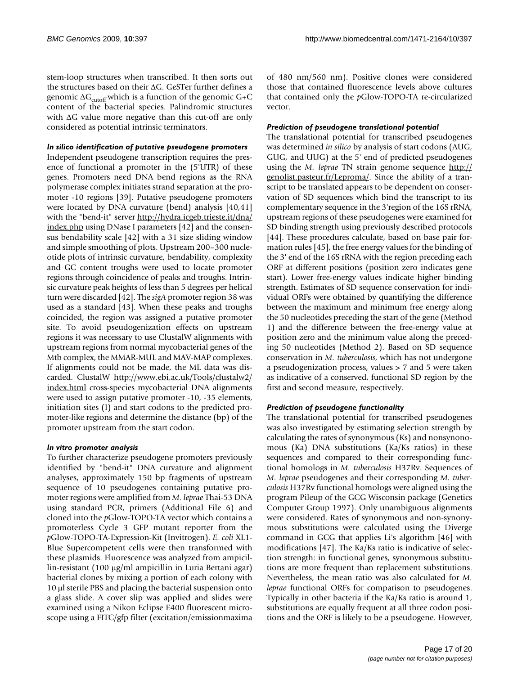stem-loop structures when transcribed. It then sorts out the structures based on their ΔG. GeSTer further defines a genomic  $\Delta G_{\text{cutoff}}$  which is a function of the genomic G+C content of the bacterial species. Palindromic structures with ΔG value more negative than this cut-off are only considered as potential intrinsic terminators.

#### *In silico identification of putative pseudogene promoters*

Independent pseudogene transcription requires the presence of functional a promoter in the (5'UTR) of these genes. Promoters need DNA bend regions as the RNA polymerase complex initiates strand separation at the promoter -10 regions [39]. Putative pseudogene promoters were located by DNA curvature (bend) analysis [40,41] with the "bend-it" server [http://hydra.icgeb.trieste.it/dna/](http://hydra.icgeb.trieste.it/dna/index.php) [index.php](http://hydra.icgeb.trieste.it/dna/index.php) using DNase I parameters [42] and the consensus bendability scale [42] with a 31 size sliding window and simple smoothing of plots. Upstream 200–300 nucleotide plots of intrinsic curvature, bendability, complexity and GC content troughs were used to locate promoter regions through coincidence of peaks and troughs. Intrinsic curvature peak heights of less than 5 degrees per helical turn were discarded [42]. The *sigA* promoter region 38 was used as a standard [43]. When these peaks and troughs coincided, the region was assigned a putative promoter site. To avoid pseudogenization effects on upstream regions it was necessary to use ClustalW alignments with upstream regions from normal mycobacterial genes of the Mtb complex, the MMAR-MUL and MAV-MAP complexes. If alignments could not be made, the ML data was discarded. ClustalW [http://www.ebi.ac.uk/Tools/clustalw2/](http://www.ebi.ac.uk/Tools/clustalw2/index.html) [index.html](http://www.ebi.ac.uk/Tools/clustalw2/index.html) cross-species mycobacterial DNA alignments were used to assign putative promoter -10, -35 elements, initiation sites (I) and start codons to the predicted promoter-like regions and determine the distance (bp) of the promoter upstream from the start codon.

#### *In vitro promoter analysis*

To further characterize pseudogene promoters previously identified by "bend-it" DNA curvature and alignment analyses, approximately 150 bp fragments of upstream sequence of 10 pseudogenes containing putative promoter regions were amplified from *M. leprae* Thai-53 DNA using standard PCR, primers (Additional File 6) and cloned into the *p*Glow-TOPO-TA vector which contains a promoterless Cycle 3 GFP mutant reporter from the *p*Glow-TOPO-TA-Expression-Kit (Invitrogen). *E. coli* XL1- Blue Supercompetent cells were then transformed with these plasmids. Fluorescence was analyzed from ampicillin-resistant (100 μg/ml ampicillin in Luria Bertani agar) bacterial clones by mixing a portion of each colony with 10 μl sterile PBS and placing the bacterial suspension onto a glass slide. A cover slip was applied and slides were examined using a Nikon Eclipse E400 fluorescent microscope using a FITC/gfp filter (excitation/emissionmaxima

of 480 nm/560 nm). Positive clones were considered those that contained fluorescence levels above cultures that contained only the *p*Glow-TOPO-TA re-circularized vector.

# *Prediction of pseudogene translational potential*

The translational potential for transcribed pseudogenes was determined *in silico* by analysis of start codons (AUG, GUG, and UUG) at the 5' end of predicted pseudogenes using the *M. leprae* TN strain genome sequence [http://](http://genolist.pasteur.fr/Leproma/) [genolist.pasteur.fr/Leproma/](http://genolist.pasteur.fr/Leproma/). Since the ability of a transcript to be translated appears to be dependent on conservation of SD sequences which bind the transcript to its complementary sequence in the 3'region of the 16S rRNA, upstream regions of these pseudogenes were examined for SD binding strength using previously described protocols [44]. These procedures calculate, based on base pair formation rules [45], the free energy values for the binding of the 3' end of the 16S rRNA with the region preceding each ORF at different positions (position zero indicates gene start). Lower free-energy values indicate higher binding strength. Estimates of SD sequence conservation for individual ORFs were obtained by quantifying the difference between the maximum and minimum free energy along the 50 nucleotides preceding the start of the gene (Method 1) and the difference between the free-energy value at position zero and the minimum value along the preceding 50 nucleotides (Method 2). Based on SD sequence conservation in *M. tuberculosis*, which has not undergone a pseudogenization process, values > 7 and 5 were taken as indicative of a conserved, functional SD region by the first and second measure, respectively.

# *Prediction of pseudogene functionality*

The translational potential for transcribed pseudogenes was also investigated by estimating selection strength by calculating the rates of synonymous (Ks) and nonsynonomous (Ka) DNA substitutions (Ka/Ks ratios) in these sequences and compared to their corresponding functional homologs in *M. tuberculosis* H37Rv. Sequences of *M. leprae* pseudogenes and their corresponding *M. tuberculosis* H37Rv functional homologs were aligned using the program Pileup of the GCG Wisconsin package (Genetics Computer Group 1997). Only unambiguous alignments were considered. Rates of synonymous and non-synonymous substitutions were calculated using the Diverge command in GCG that applies Li's algorithm [46] with modifications [47]. The Ka/Ks ratio is indicative of selection strength: in functional genes, synonymous substitutions are more frequent than replacement substitutions. Nevertheless, the mean ratio was also calculated for *M. leprae* functional ORFs for comparison to pseudogenes. Typically in other bacteria if the Ka/Ks ratio is around 1, substitutions are equally frequent at all three codon positions and the ORF is likely to be a pseudogene. However,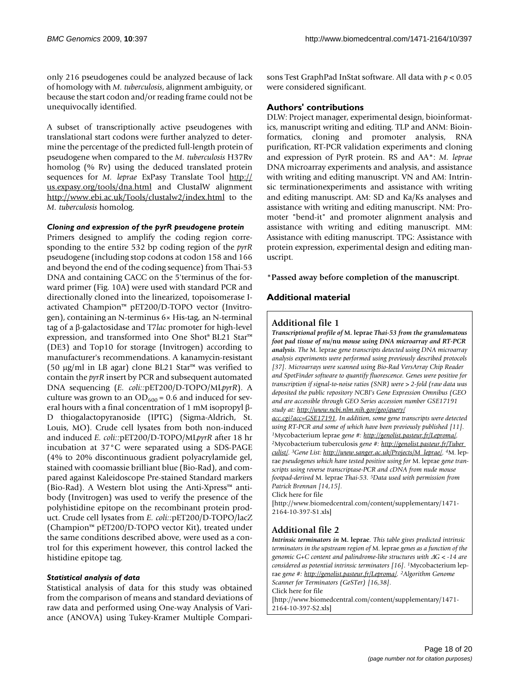only 216 pseudogenes could be analyzed because of lack of homology with *M. tuberculosis*, alignment ambiguity, or because the start codon and/or reading frame could not be unequivocally identified.

A subset of transcriptionally active pseudogenes with translational start codons were further analyzed to determine the percentage of the predicted full-length protein of pseudogene when compared to the *M. tuberculosis* H37Rv homolog (% Rv) using the deduced translated protein sequences for *M. leprae* ExPasy Translate Tool [http://](http://us.expasy.org/tools/dna.html) [us.expasy.org/tools/dna.html](http://us.expasy.org/tools/dna.html) and ClustalW alignment <http://www.ebi.ac.uk/Tools/clustalw2/index.html>to the *M. tuberculosis* homolog.

#### *Cloning and expression of the pyrR pseudogene protein*

Primers designed to amplify the coding region corresponding to the entire 532 bp coding region of the *pyrR* pseudogene (including stop codons at codon 158 and 166 and beyond the end of the coding sequence) from Thai-53 DNA and containing CACC on the 5'terminus of the forward primer (Fig. 10A) were used with standard PCR and directionally cloned into the linearized, topoisomerase Iactivated Champion™ pET200/D-TOPO vector (Invitrogen), containing an N-terminus 6× His-tag, an N-terminal tag of a β-galactosidase and T7*lac* promoter for high-level expression, and transformed into One Shot® BL21 Star™ (DE3) and Top10 for storage (Invitrogen) according to manufacturer's recommendations. A kanamycin-resistant (50 μg/ml in LB agar) clone BL21 Star™ was verified to contain the *pyrR* insert by PCR and subsequent automated DNA sequencing (*E. coli::*pET200/D-TOPO/ML*pyrR*). A culture was grown to an  $OD_{600} = 0.6$  and induced for several hours with a final concentration of 1 mM isopropyl β-D thiogalactopyranoside (IPTG) (Sigma-Aldrich, St. Louis, MO). Crude cell lysates from both non-induced and induced *E. coli::*pET200/D-TOPO/ML*pyrR* after 18 hr incubation at 37°C were separated using a SDS-PAGE (4% to 20% discontinuous gradient polyacrylamide gel, stained with coomassie brilliant blue (Bio-Rad), and compared against Kaleidoscope Pre-stained Standard markers (Bio-Rad). A Western blot using the Anti-Xpress<sup>™</sup> antibody (Invitrogen) was used to verify the presence of the polyhistidine epitope on the recombinant protein product. Crude cell lysates from *E. coli::*pET200/D-TOPO/lacZ (Champion™ pET200/D-TOPO vector Kit), treated under the same conditions described above, were used as a control for this experiment however, this control lacked the histidine epitope tag.

#### *Statistical analysis of data*

Statistical analysis of data for this study was obtained from the comparison of means and standard deviations of raw data and performed using One-way Analysis of Variance (ANOVA) using Tukey-Kramer Multiple Comparisons Test GraphPad InStat software. All data with *p* < 0.05 were considered significant.

# **Authors' contributions**

DLW: Project manager, experimental design, bioinformatics, manuscript writing and editing. TLP and ANM: Bioinformatics, cloning and promoter analysis, RNA purification, RT-PCR validation experiments and cloning and expression of PyrR protein. RS and AA\*: *M. leprae* DNA microarray experiments and analysis, and assistance with writing and editing manuscript. VN and AM: Intrinsic terminationexperiments and assistance with writing and editing manuscript. AM: SD and Ka/Ks analyses and assistance with writing and editing manuscript. NM: Promoter "bend-it" and promoter alignment analysis and assistance with writing and editing manuscript. MM: Assistance with editing manuscript. TPG: Assistance with protein expression, experimental design and editing manuscript.

\***Passed away before completion of the manuscript**.

# **Additional material**

#### **Additional file 1**

*Transcriptional profile of* **M. leprae** *Thai-53 from the granulomatous foot pad tissue of nu/***nu** *mouse using DNA microarray and RT-PCR analysis. The* M. leprae *gene transcripts detected using DNA microarray analysis experiments were performed using previously described protocols [37]. Microarrays were scanned using Bio-Rad VersArray Chip Reader and SpotFinder software to quantify fluorescence. Genes were positive for transcription if signal-to-noise ratios (SNR) were > 2-fold (raw data was deposited the public repository NCBI's Gene Expression Omnibus (GEO and are accessible through GEO Series accession number GSE17191 study at: [http://www.ncbi.nlm.nih.gov/geo/query/](http://www.ncbi.nlm.nih.gov/geo/query/acc.cgi?acc=GSE17191) [acc.cgi?acc=GSE17191.](http://www.ncbi.nlm.nih.gov/geo/query/acc.cgi?acc=GSE17191) In addition, some gene transcripts were detected using RT-PCR and some of which have been previously published [11].* 

*<sup>1</sup>*Mycobacterium leprae *gene #:<http://genolist.pasteur.fr/Leproma/>. 2*Mycobacterium tuberculosis *gene #: [http://genolist.pasteur.fr/Tuber](http://genolist.pasteur.fr/Tuberculist/)  [culist/](http://genolist.pasteur.fr/Tuberculist/). 3Gene List: [http://www.sanger.ac.uk/Projects/M\\_leprae/.](http://www.sanger.ac.uk/Projects/M_leprae/) 4*M. leprae *pseudogenes which have tested positive using for* M. leprae *gene transcripts using reverse transcriptase-PCR and cDNA from nude mouse footpad-derived* M. leprae *Thai-53. 5Data used with permission from Patrick Brennan [14,15].*

Click here for file

[\[http://www.biomedcentral.com/content/supplementary/1471-](http://www.biomedcentral.com/content/supplementary/1471-2164-10-397-S1.xls) 2164-10-397-S1.xls]

# **Additional file 2**

*Intrinsic terminators in* **M. leprae***. This table gives predicted intrinsic terminators in the upstream region of* M. leprae *genes as a function of the genomic G+C content and palindrome-like structures with* Δ*G < -14 are considered as potential intrinsic terminators [16]. 1*Mycobacterium leprae *gene #: [http://genolist.pasteur.fr/Leproma/.](http://genolist.pasteur.fr/Leproma/) 2Algorithm Genome Scanner for Terminators (GeSTer) [16,38].* Click here for file

[\[http://www.biomedcentral.com/content/supplementary/1471-](http://www.biomedcentral.com/content/supplementary/1471-2164-10-397-S2.xls) 2164-10-397-S2.xls]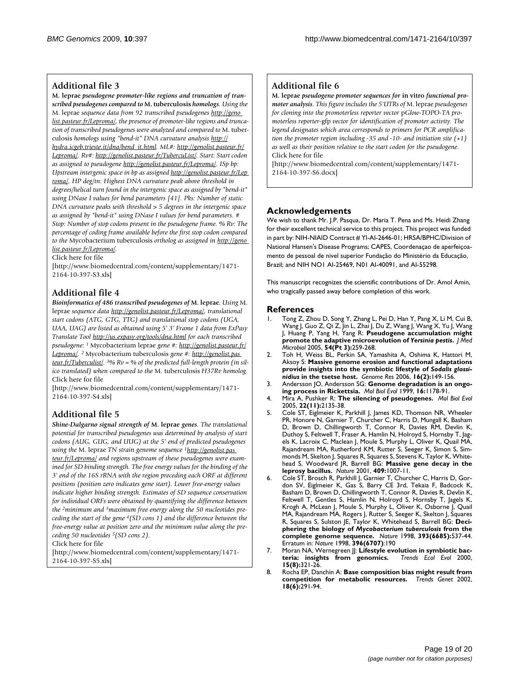# **Additional file 3**

**M. leprae** *pseudogene promoter-like regions and truncation of transcribed pseudogenes compared to* **M. tuberculosis** *homologs. Using the*  M. leprae *sequence data from 92 transcribed pseudogenes [http://geno](http://genolist.pasteur.fr/Leproma/)  [list.pasteur.fr/Leproma/](http://genolist.pasteur.fr/Leproma/), the presence of promoter-like regions and truncation of transcribed pseudogenes were analyzed and compared to* M. tuberculosis *homologs using "bend-it" DNA curvature analysis [http://](http://hydra.icgeb.trieste.it/dna/bend_it.html) [hydra.icgeb.trieste.it/dna/bend\\_it.html](http://hydra.icgeb.trieste.it/dna/bend_it.html). ML#: [http://genolist.pasteur.fr/](http://genolist.pasteur.fr/Leproma/) [Leproma/](http://genolist.pasteur.fr/Leproma/). Rv#:<http://genolist.pasteur.fr/TubercuList/>. Start: Start codon as assigned to pseudogene <http://genolist.pasteur.fr/Leproma/>. ISp bp: Upstream intergenic space in bp as assigned [http://genolist.pasteur.fr/Lep](http://genolist.pasteur.fr/Leproma/)  [roma/](http://genolist.pasteur.fr/Leproma/). HP deg/tn: Highest DNA curvature peak above threshold in degrees/helical turn found in the intergenic space as assigned by "bend-it" using DNase I values for bend parameters [41]. Pks: Number of static DNA curvature peaks with threshold > 5 degrees in the intergenic space as assigned by "bend-it" using DNase I values for bend parameters. # Stop: Number of stop codons present in the pseudogene frame. % Rv: The percentage of coding frame available before the first stop codon compared to the* Mycobacterium tuberculosis *ortholog as assigned in [http://geno](http://genolist.pasteur.fr/Leproma/)  [list.pasteur.fr/Leproma/](http://genolist.pasteur.fr/Leproma/).*

Click here for file

[\[http://www.biomedcentral.com/content/supplementary/1471-](http://www.biomedcentral.com/content/supplementary/1471-2164-10-397-S3.xls) 2164-10-397-S3.xls]

# **Additional file 4**

*Bioinformatics of 486 transcribed pseudogenes of* **M. leprae***. Using* M. leprae *sequence data <http://genolist.pasteur.fr/Leproma/>, translational start codons (ATG, GTG, TTG) and translational stop codons (UGA, UAA, UAG) are listed as obtained using 5' 3' Frame 1 data from ExPasy Translate Tool <http://us.expasy.org/tools/dna.html> for each transcribed pseudogene: 1* Mycobacterium leprae *gene #: [http://genolist.pasteur.fr/](http://genolist.pasteur.fr/Leproma/) [Leproma/](http://genolist.pasteur.fr/Leproma/). 2* Mycobacterium tuberculosis *gene #: [http://genolist.pas](http://genolist.pasteur.fr/Tuberculist/)  [teur.fr/Tuberculist/](http://genolist.pasteur.fr/Tuberculist/). 3% Rv = % of the predicted full-length protein (in silico translated) when compared to the* M. tuberculosis *H37Rv homolog.* Click here for file

[\[http://www.biomedcentral.com/content/supplementary/1471-](http://www.biomedcentral.com/content/supplementary/1471-2164-10-397-S4.xls) 2164-10-397-S4.xls]

# **Additional file 5**

*Shine-Dalgarno signal strength of* **M. leprae** *genes. The translational potential for transcribed pseudogenes was determined by analysis of start codons (AUG, GUG, and UUG) at the 5' end of predicted pseudogenes using the* M. leprae *TN strain genome sequence [1http://genolist.pas](http://genolist.pasteur.fr/Leproma/)  [teur.fr/Leproma/](http://genolist.pasteur.fr/Leproma/) and regions upstream of these pseudogenes were examined for SD binding strength. The free energy values for the binding of the 3' end of the 16S rRNA with the region preceding each ORF at different positions (position zero indicates gene start). Lower free-energy values indicate higher binding strength. Estimates of SD sequence conservation for individual ORFs were obtained by quantifying the difference between the 2minimum and 3maximum free energy along the 50 nucleotides preceding the start of the gene 4(SD cons 1) and the difference between the free-energy value at position zero and the minimum value along the preceding 50 nucleotides 5(SD cons 2).*

Click here for file

[\[http://www.biomedcentral.com/content/supplementary/1471-](http://www.biomedcentral.com/content/supplementary/1471-2164-10-397-S5.xls) 2164-10-397-S5.xls]

# **Additional file 6**

**M. leprae** *pseudogene promoter sequences for* **in vitro** *functional promoter analysis. This figure includes the 5'UTRs of* M. leprae *pseudogenes for cloning into the promoterless reporter vector* p*Glow-TOPO-TA promoterless reporter-*gfp *vector for identification of promoter activity. The legend designates which area corresponds to primers for PCR amplification the promoter region including -35 and -10- and initiation site (+1) as well as their position relative to the start codon for the pseudogene.* Click here for file

[\[http://www.biomedcentral.com/content/supplementary/1471-](http://www.biomedcentral.com/content/supplementary/1471-2164-10-397-S6.docx) 2164-10-397-S6.docx]

# **Acknowledgements**

We wish to thank Mr. J.P. Pasqua, Dr. Maria T. Pena and Ms. Heidi Zhang for their excellent technical service to this project. This project was funded in part by: NIH-NIAID Contract # YI-AI-2646-01; HRSA/BPHC/Division of National Hansen's Disease Programs; CAPES, Coordenaçao de aperfeiçoamento de pessoal de nivel superior Fundação do Ministério da Educação, Brazil; and NIH NO1 AI-25469, N01 AI-40091, and AI-55298.

This manuscript recognizes the scientific contributions of Dr. Amol Amin, who tragically passed away before completion of this work.

#### **References**

- Tong Z, Zhou D, Song Y, Zhang L, Pei D, Han Y, Pang X, Li M, Cui B, Wang J, Guo Z, Qi Z, Jin L, Zhai J, Du Z, Wang J, Wang X, Yu J, Wang J, Huang P, Yang H, Yang R: **Pseudogene accumulation might promote the adaptive microevolution of** *Yersinia pestis***[.](http://www.ncbi.nlm.nih.gov/entrez/query.fcgi?cmd=Retrieve&db=PubMed&dopt=Abstract&list_uids=15713609)** *J Med Microbiol* 2005, **54(Pt 3):**259-268.
- 2. Toh H, Weiss BL, Perkin SA, Yamashita A, Oshima K, Hattori M, Aksoy S: **Massive genome erosion and functional adaptations provide insights into the symbiotic lifestyle of** *Sodalis glossinidius* **[in the tsetse host.](http://www.ncbi.nlm.nih.gov/entrez/query.fcgi?cmd=Retrieve&db=PubMed&dopt=Abstract&list_uids=16365377)** *Genome Res* 2006, **16(2):**149-156.
- 3. Andersson JO, Andersson SG: **[Genome degradation is an ongo](http://www.ncbi.nlm.nih.gov/entrez/query.fcgi?cmd=Retrieve&db=PubMed&dopt=Abstract&list_uids=10486973)[ing process in Rickettsia.](http://www.ncbi.nlm.nih.gov/entrez/query.fcgi?cmd=Retrieve&db=PubMed&dopt=Abstract&list_uids=10486973)** *Mol Biol Evol* 1999, **16:**1178-91.
- 4. Mira A, Pushker R: **[The silencing of pseudogenes.](http://www.ncbi.nlm.nih.gov/entrez/query.fcgi?cmd=Retrieve&db=PubMed&dopt=Abstract&list_uids=16014873)** *Mol Biol Evol* 2005, **22(11):**2135-38.
- 5. Cole ST, Eiglmeier K, Parkhill J, James KD, Thomson NR, Wheeler PR, Honore N, Garnier T, Churcher C, Harris D, Mungall K, Basham D, Brown D, Chillingworth T, Connor R, Davies RM, Devlin K, Duthoy S, Feltwell T, Fraser A, Hamlin N, Holroyd S, Hornsby T, Jagels K, Lacroix C, Maclean J, Moule S, Murphy L, Oliver K, Quail MA, Rajandream MA, Rutherford KM, Rutter S, Seeger K, Simon S, Simmonds M, Skelton J, Squares R, Squares S, Stevens K, Taylor K, Whitehead S, Woodward JR, Barrell BG: **[Massive gene decay in the](http://www.ncbi.nlm.nih.gov/entrez/query.fcgi?cmd=Retrieve&db=PubMed&dopt=Abstract&list_uids=11234002) [leprosy bacillus.](http://www.ncbi.nlm.nih.gov/entrez/query.fcgi?cmd=Retrieve&db=PubMed&dopt=Abstract&list_uids=11234002)** *Nature* 2001, **409:**1007-11.
- 6. Cole ST, Brosch R, Parkhill J, Garnier T, Churcher C, Harris D, Gordon SV, Eiglmeier K, Gas S, Barry CE 3rd, Tekaia F, Badcock K, Basham D, Brown D, Chillingworth T, Connor R, Davies R, Devlin K, Feltwell T, Gentles S, Hamlin N, Holroyd S, Hornsby T, Jagels K, Krogh A, McLean J, Moule S, Murphy L, Oliver K, Osborne J, Quail MA, Rajandream MA, Rogers J, Rutter S, Seeger K, Skelton J, Squares R, Squares S, Sulston JE, Taylor K, Whitehead S, Barrell BG: **Deciphering the biology of** *Mycobacterium tuberculosis* **[from the](http://www.ncbi.nlm.nih.gov/entrez/query.fcgi?cmd=Retrieve&db=PubMed&dopt=Abstract&list_uids=9634230) [complete genome sequence.](http://www.ncbi.nlm.nih.gov/entrez/query.fcgi?cmd=Retrieve&db=PubMed&dopt=Abstract&list_uids=9634230)** *Nature* 1998, **393(6685):**537-44. Erratum in: *Nature* 1998, **396(6707)**:190
- 7. Moran NA, Wernegreen J: **Lifestyle evolution in symbiotic bac-**<br> **teria: insights from genomics.** Trends Ecol Evol 2000, [teria: insights from genomics.](http://www.ncbi.nlm.nih.gov/entrez/query.fcgi?cmd=Retrieve&db=PubMed&dopt=Abstract&list_uids=10884696) **15(8):**321-26.
- 8. Rocha EP, Danchin A: **[Base composition bias might result from](http://www.ncbi.nlm.nih.gov/entrez/query.fcgi?cmd=Retrieve&db=PubMed&dopt=Abstract&list_uids=12044357) [competition for metabolic resources.](http://www.ncbi.nlm.nih.gov/entrez/query.fcgi?cmd=Retrieve&db=PubMed&dopt=Abstract&list_uids=12044357)** *Trends Genet* 2002, **18(6):**291-94.